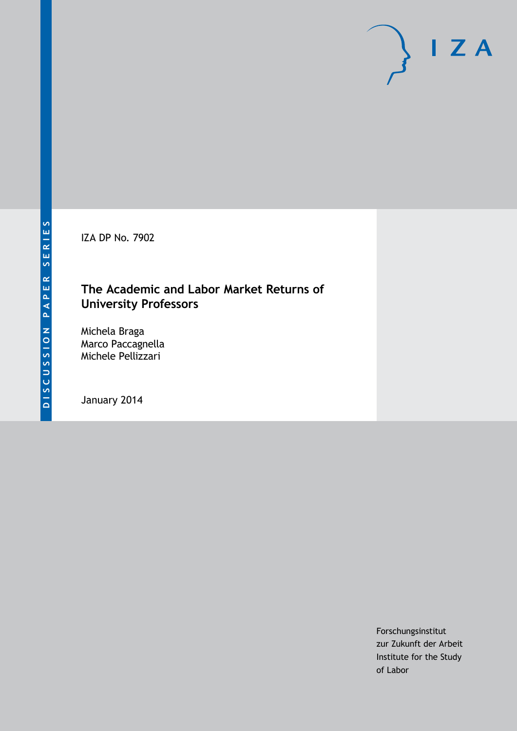IZA DP No. 7902

## **The Academic and Labor Market Returns of University Professors**

Michela Braga Marco Paccagnella Michele Pellizzari

January 2014

Forschungsinstitut zur Zukunft der Arbeit Institute for the Study of Labor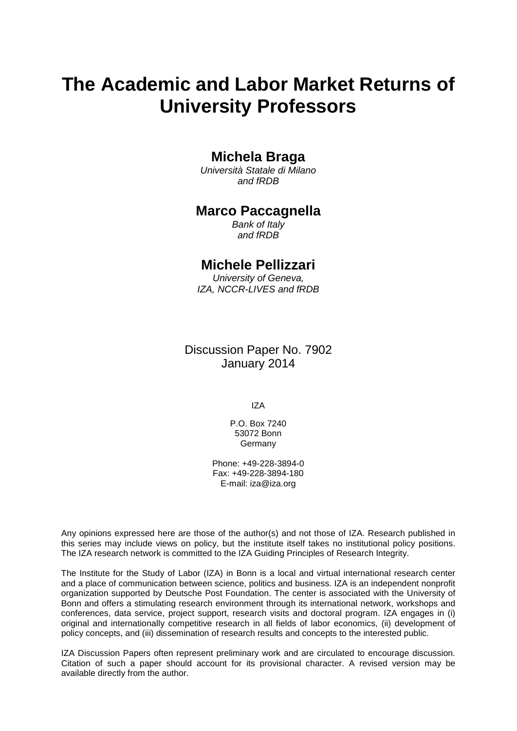# **The Academic and Labor Market Returns of University Professors**

### **Michela Braga**

*Università Statale di Milano and fRDB*

### **Marco Paccagnella**

*Bank of Italy and fRDB*

### **Michele Pellizzari**

*University of Geneva, IZA, NCCR-LIVES and fRDB*

Discussion Paper No. 7902 January 2014

IZA

P.O. Box 7240 53072 Bonn Germany

Phone: +49-228-3894-0 Fax: +49-228-3894-180 E-mail: [iza@iza.org](mailto:iza@iza.org)

Any opinions expressed here are those of the author(s) and not those of IZA. Research published in this series may include views on policy, but the institute itself takes no institutional policy positions. The IZA research network is committed to the IZA Guiding Principles of Research Integrity.

The Institute for the Study of Labor (IZA) in Bonn is a local and virtual international research center and a place of communication between science, politics and business. IZA is an independent nonprofit organization supported by Deutsche Post Foundation. The center is associated with the University of Bonn and offers a stimulating research environment through its international network, workshops and conferences, data service, project support, research visits and doctoral program. IZA engages in (i) original and internationally competitive research in all fields of labor economics, (ii) development of policy concepts, and (iii) dissemination of research results and concepts to the interested public.

<span id="page-1-0"></span>IZA Discussion Papers often represent preliminary work and are circulated to encourage discussion. Citation of such a paper should account for its provisional character. A revised version may be available directly from the author.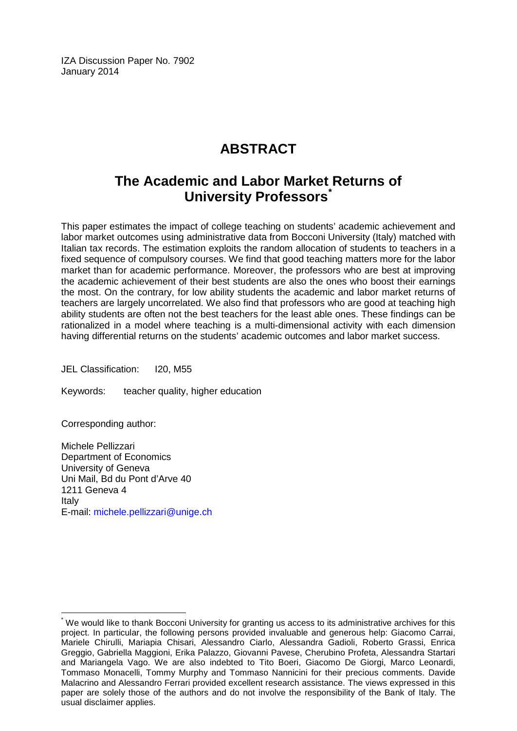IZA Discussion Paper No. 7902 January 2014

# **ABSTRACT**

## **The Academic and Labor Market Returns of University Professors[\\*](#page-1-0)**

This paper estimates the impact of college teaching on students' academic achievement and labor market outcomes using administrative data from Bocconi University (Italy) matched with Italian tax records. The estimation exploits the random allocation of students to teachers in a fixed sequence of compulsory courses. We find that good teaching matters more for the labor market than for academic performance. Moreover, the professors who are best at improving the academic achievement of their best students are also the ones who boost their earnings the most. On the contrary, for low ability students the academic and labor market returns of teachers are largely uncorrelated. We also find that professors who are good at teaching high ability students are often not the best teachers for the least able ones. These findings can be rationalized in a model where teaching is a multi-dimensional activity with each dimension having differential returns on the students' academic outcomes and labor market success.

JEL Classification: I20, M55

Keywords: teacher quality, higher education

Corresponding author:

Michele Pellizzari Department of Economics University of Geneva Uni Mail, Bd du Pont d'Arve 40 1211 Geneva 4 Italy E-mail: [michele.pellizzari@unige.ch](mailto:michele.pellizzari@unige.ch)

Ye would like to thank Bocconi University for granting us access to its administrative archives for this project. In particular, the following persons provided invaluable and generous help: Giacomo Carrai, Mariele Chirulli, Mariapia Chisari, Alessandro Ciarlo, Alessandra Gadioli, Roberto Grassi, Enrica Greggio, Gabriella Maggioni, Erika Palazzo, Giovanni Pavese, Cherubino Profeta, Alessandra Startari and Mariangela Vago. We are also indebted to Tito Boeri, Giacomo De Giorgi, Marco Leonardi, Tommaso Monacelli, Tommy Murphy and Tommaso Nannicini for their precious comments. Davide Malacrino and Alessandro Ferrari provided excellent research assistance. The views expressed in this paper are solely those of the authors and do not involve the responsibility of the Bank of Italy. The usual disclaimer applies.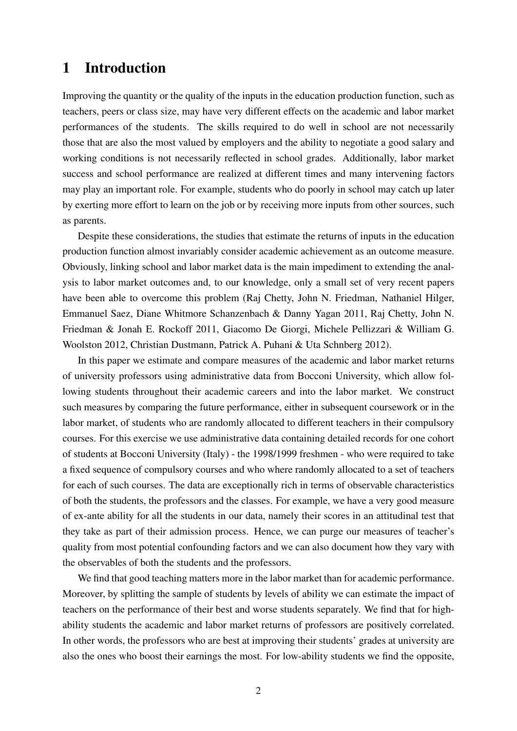## 1 Introduction

Improving the quantity or the quality of the inputs in the education production function, such as teachers, peers or class size, may have very different effects on the academic and labor market performances of the students. The skills required to do well in school are not necessarily those that are also the most valued by employers and the ability to negotiate a good salary and working conditions is not necessarily reflected in school grades. Additionally, labor market success and school performance are realized at different times and many intervening factors may play an important role. For example, students who do poorly in school may catch up later by exerting more effort to learn on the job or by receiving more inputs from other sources, such as parents.

Despite these considerations, the studies that estimate the returns of inputs in the education production function almost invariably consider academic achievement as an outcome measure. Obviously, linking school and labor market data is the main impediment to extending the analysis to labor market outcomes and, to our knowledge, only a small set of very recent papers have been able to overcome this problem (Raj Chetty, John N. Friedman, Nathaniel Hilger, Emmanuel Saez, Diane Whitmore Schanzenbach & Danny Yagan 2011, Raj Chetty, John N. Friedman & Jonah E. Rockoff 2011, Giacomo De Giorgi, Michele Pellizzari & William G. Woolston 2012, Christian Dustmann, Patrick A. Puhani & Uta Schnberg 2012).

In this paper we estimate and compare measures of the academic and labor market returns of university professors using administrative data from Bocconi University, which allow following students throughout their academic careers and into the labor market. We construct such measures by comparing the future performance, either in subsequent coursework or in the labor market, of students who are randomly allocated to different teachers in their compulsory courses. For this exercise we use administrative data containing detailed records for one cohort of students at Bocconi University (Italy) - the 1998/1999 freshmen - who were required to take a fixed sequence of compulsory courses and who where randomly allocated to a set of teachers for each of such courses. The data are exceptionally rich in terms of observable characteristics of both the students, the professors and the classes. For example, we have a very good measure of ex-ante ability for all the students in our data, namely their scores in an attitudinal test that they take as part of their admission process. Hence, we can purge our measures of teacher's quality from most potential confounding factors and we can also document how they vary with the observables of both the students and the professors.

We find that good teaching matters more in the labor market than for academic performance. Moreover, by splitting the sample of students by levels of ability we can estimate the impact of teachers on the performance of their best and worse students separately. We find that for highability students the academic and labor market returns of professors are positively correlated. In other words, the professors who are best at improving their students' grades at university are also the ones who boost their earnings the most. For low-ability students we find the opposite,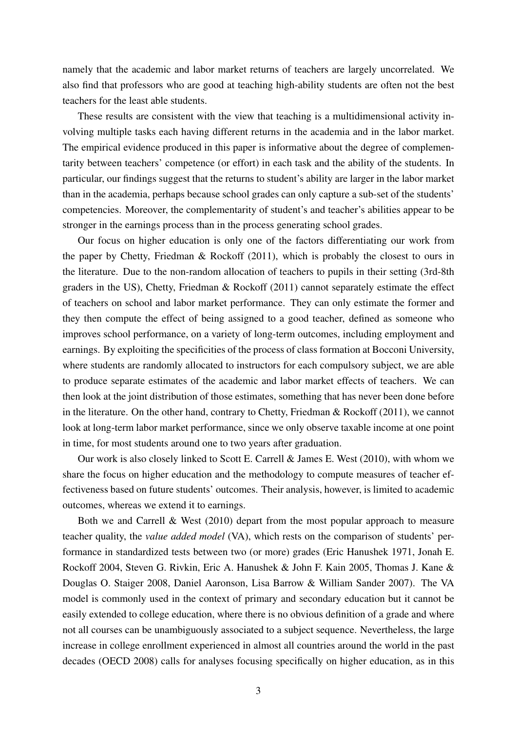namely that the academic and labor market returns of teachers are largely uncorrelated. We also find that professors who are good at teaching high-ability students are often not the best teachers for the least able students.

These results are consistent with the view that teaching is a multidimensional activity involving multiple tasks each having different returns in the academia and in the labor market. The empirical evidence produced in this paper is informative about the degree of complementarity between teachers' competence (or effort) in each task and the ability of the students. In particular, our findings suggest that the returns to student's ability are larger in the labor market than in the academia, perhaps because school grades can only capture a sub-set of the students' competencies. Moreover, the complementarity of student's and teacher's abilities appear to be stronger in the earnings process than in the process generating school grades.

Our focus on higher education is only one of the factors differentiating our work from the paper by Chetty, Friedman & Rockoff (2011), which is probably the closest to ours in the literature. Due to the non-random allocation of teachers to pupils in their setting (3rd-8th graders in the US), Chetty, Friedman & Rockoff (2011) cannot separately estimate the effect of teachers on school and labor market performance. They can only estimate the former and they then compute the effect of being assigned to a good teacher, defined as someone who improves school performance, on a variety of long-term outcomes, including employment and earnings. By exploiting the specificities of the process of class formation at Bocconi University, where students are randomly allocated to instructors for each compulsory subject, we are able to produce separate estimates of the academic and labor market effects of teachers. We can then look at the joint distribution of those estimates, something that has never been done before in the literature. On the other hand, contrary to Chetty, Friedman & Rockoff (2011), we cannot look at long-term labor market performance, since we only observe taxable income at one point in time, for most students around one to two years after graduation.

Our work is also closely linked to Scott E. Carrell  $\&$  James E. West (2010), with whom we share the focus on higher education and the methodology to compute measures of teacher effectiveness based on future students' outcomes. Their analysis, however, is limited to academic outcomes, whereas we extend it to earnings.

Both we and Carrell & West (2010) depart from the most popular approach to measure teacher quality, the *value added model* (VA), which rests on the comparison of students' performance in standardized tests between two (or more) grades (Eric Hanushek 1971, Jonah E. Rockoff 2004, Steven G. Rivkin, Eric A. Hanushek & John F. Kain 2005, Thomas J. Kane & Douglas O. Staiger 2008, Daniel Aaronson, Lisa Barrow & William Sander 2007). The VA model is commonly used in the context of primary and secondary education but it cannot be easily extended to college education, where there is no obvious definition of a grade and where not all courses can be unambiguously associated to a subject sequence. Nevertheless, the large increase in college enrollment experienced in almost all countries around the world in the past decades (OECD 2008) calls for analyses focusing specifically on higher education, as in this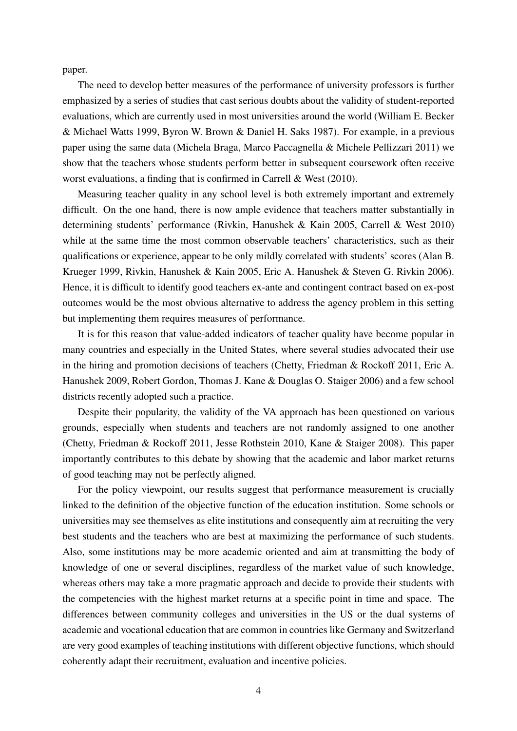paper.

The need to develop better measures of the performance of university professors is further emphasized by a series of studies that cast serious doubts about the validity of student-reported evaluations, which are currently used in most universities around the world (William E. Becker & Michael Watts 1999, Byron W. Brown & Daniel H. Saks 1987). For example, in a previous paper using the same data (Michela Braga, Marco Paccagnella & Michele Pellizzari 2011) we show that the teachers whose students perform better in subsequent coursework often receive worst evaluations, a finding that is confirmed in Carrell & West (2010).

Measuring teacher quality in any school level is both extremely important and extremely difficult. On the one hand, there is now ample evidence that teachers matter substantially in determining students' performance (Rivkin, Hanushek & Kain 2005, Carrell & West 2010) while at the same time the most common observable teachers' characteristics, such as their qualifications or experience, appear to be only mildly correlated with students' scores (Alan B. Krueger 1999, Rivkin, Hanushek & Kain 2005, Eric A. Hanushek & Steven G. Rivkin 2006). Hence, it is difficult to identify good teachers ex-ante and contingent contract based on ex-post outcomes would be the most obvious alternative to address the agency problem in this setting but implementing them requires measures of performance.

It is for this reason that value-added indicators of teacher quality have become popular in many countries and especially in the United States, where several studies advocated their use in the hiring and promotion decisions of teachers (Chetty, Friedman & Rockoff 2011, Eric A. Hanushek 2009, Robert Gordon, Thomas J. Kane & Douglas O. Staiger 2006) and a few school districts recently adopted such a practice.

Despite their popularity, the validity of the VA approach has been questioned on various grounds, especially when students and teachers are not randomly assigned to one another (Chetty, Friedman & Rockoff 2011, Jesse Rothstein 2010, Kane & Staiger 2008). This paper importantly contributes to this debate by showing that the academic and labor market returns of good teaching may not be perfectly aligned.

For the policy viewpoint, our results suggest that performance measurement is crucially linked to the definition of the objective function of the education institution. Some schools or universities may see themselves as elite institutions and consequently aim at recruiting the very best students and the teachers who are best at maximizing the performance of such students. Also, some institutions may be more academic oriented and aim at transmitting the body of knowledge of one or several disciplines, regardless of the market value of such knowledge, whereas others may take a more pragmatic approach and decide to provide their students with the competencies with the highest market returns at a specific point in time and space. The differences between community colleges and universities in the US or the dual systems of academic and vocational education that are common in countries like Germany and Switzerland are very good examples of teaching institutions with different objective functions, which should coherently adapt their recruitment, evaluation and incentive policies.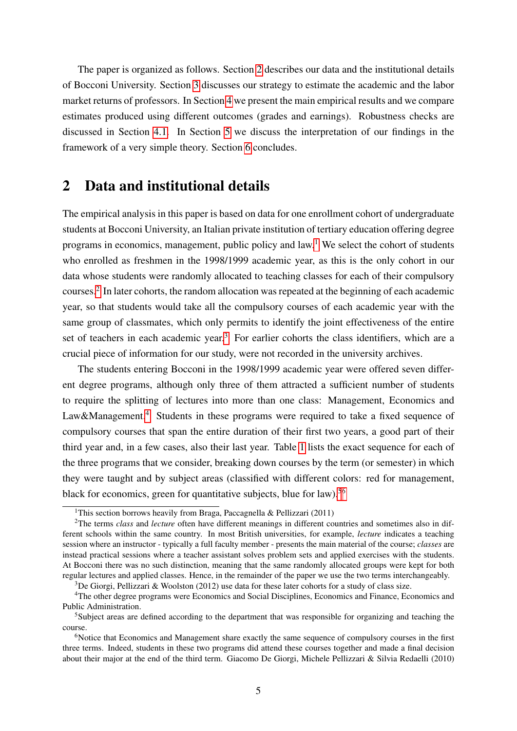The paper is organized as follows. Section [2](#page-6-0) describes our data and the institutional details of Bocconi University. Section [3](#page-11-0) discusses our strategy to estimate the academic and the labor market returns of professors. In Section [4](#page-16-0) we present the main empirical results and we compare estimates produced using different outcomes (grades and earnings). Robustness checks are discussed in Section [4.1.](#page-20-0) In Section [5](#page-22-0) we discuss the interpretation of our findings in the framework of a very simple theory. Section [6](#page-24-0) concludes.

### <span id="page-6-0"></span>2 Data and institutional details

The empirical analysis in this paper is based on data for one enrollment cohort of undergraduate students at Bocconi University, an Italian private institution of tertiary education offering degree programs in economics, management, public policy and  $law<sup>1</sup>$  $law<sup>1</sup>$  $law<sup>1</sup>$ . We select the cohort of students who enrolled as freshmen in the 1998/1999 academic year, as this is the only cohort in our data whose students were randomly allocated to teaching classes for each of their compulsory courses.[2](#page-6-2) In later cohorts, the random allocation was repeated at the beginning of each academic year, so that students would take all the compulsory courses of each academic year with the same group of classmates, which only permits to identify the joint effectiveness of the entire set of teachers in each academic year.<sup>[3](#page-6-3)</sup> For earlier cohorts the class identifiers, which are a crucial piece of information for our study, were not recorded in the university archives.

The students entering Bocconi in the 1998/1999 academic year were offered seven different degree programs, although only three of them attracted a sufficient number of students to require the splitting of lectures into more than one class: Management, Economics and Law&Management.<sup>[4](#page-6-4)</sup> Students in these programs were required to take a fixed sequence of compulsory courses that span the entire duration of their first two years, a good part of their third year and, in a few cases, also their last year. Table [1](#page-31-0) lists the exact sequence for each of the three programs that we consider, breaking down courses by the term (or semester) in which they were taught and by subject areas (classified with different colors: red for management, black for economics, green for quantitative subjects, blue for law).<sup>[5](#page-6-5)[6](#page-6-6)</sup>

<span id="page-6-2"></span><span id="page-6-1"></span><sup>&</sup>lt;sup>1</sup>This section borrows heavily from Braga, Paccagnella & Pellizzari (2011)

<sup>&</sup>lt;sup>2</sup>The terms *class* and *lecture* often have different meanings in different countries and sometimes also in different schools within the same country. In most British universities, for example, *lecture* indicates a teaching session where an instructor - typically a full faculty member - presents the main material of the course; *classes* are instead practical sessions where a teacher assistant solves problem sets and applied exercises with the students. At Bocconi there was no such distinction, meaning that the same randomly allocated groups were kept for both regular lectures and applied classes. Hence, in the remainder of the paper we use the two terms interchangeably.

<span id="page-6-4"></span><span id="page-6-3"></span><sup>&</sup>lt;sup>3</sup>De Giorgi, Pellizzari & Woolston (2012) use data for these later cohorts for a study of class size.

<sup>4</sup>The other degree programs were Economics and Social Disciplines, Economics and Finance, Economics and Public Administration.

<span id="page-6-5"></span><sup>&</sup>lt;sup>5</sup>Subject areas are defined according to the department that was responsible for organizing and teaching the course.

<span id="page-6-6"></span><sup>&</sup>lt;sup>6</sup>Notice that Economics and Management share exactly the same sequence of compulsory courses in the first three terms. Indeed, students in these two programs did attend these courses together and made a final decision about their major at the end of the third term. Giacomo De Giorgi, Michele Pellizzari & Silvia Redaelli (2010)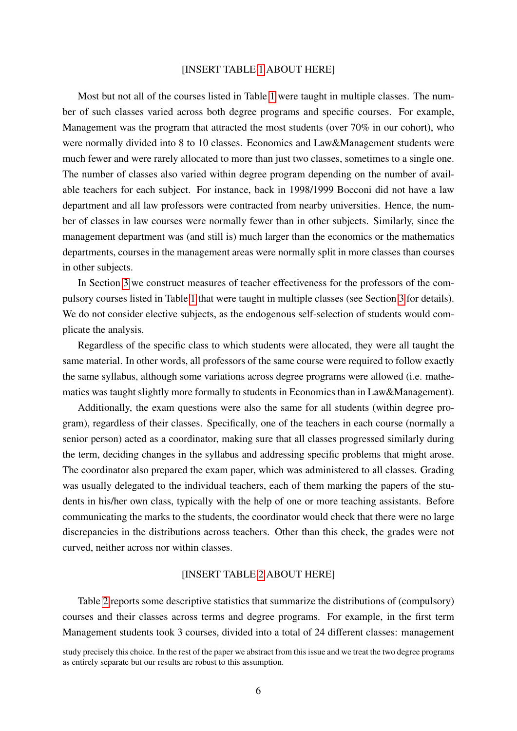#### [INSERT TABLE [1](#page-31-0) ABOUT HERE]

Most but not all of the courses listed in Table [1](#page-31-0) were taught in multiple classes. The number of such classes varied across both degree programs and specific courses. For example, Management was the program that attracted the most students (over 70% in our cohort), who were normally divided into 8 to 10 classes. Economics and Law&Management students were much fewer and were rarely allocated to more than just two classes, sometimes to a single one. The number of classes also varied within degree program depending on the number of available teachers for each subject. For instance, back in 1998/1999 Bocconi did not have a law department and all law professors were contracted from nearby universities. Hence, the number of classes in law courses were normally fewer than in other subjects. Similarly, since the management department was (and still is) much larger than the economics or the mathematics departments, courses in the management areas were normally split in more classes than courses in other subjects.

In Section [3](#page-11-0) we construct measures of teacher effectiveness for the professors of the compulsory courses listed in Table [1](#page-31-0) that were taught in multiple classes (see Section [3](#page-11-0) for details). We do not consider elective subjects, as the endogenous self-selection of students would complicate the analysis.

Regardless of the specific class to which students were allocated, they were all taught the same material. In other words, all professors of the same course were required to follow exactly the same syllabus, although some variations across degree programs were allowed (i.e. mathematics was taught slightly more formally to students in Economics than in Law&Management).

Additionally, the exam questions were also the same for all students (within degree program), regardless of their classes. Specifically, one of the teachers in each course (normally a senior person) acted as a coordinator, making sure that all classes progressed similarly during the term, deciding changes in the syllabus and addressing specific problems that might arose. The coordinator also prepared the exam paper, which was administered to all classes. Grading was usually delegated to the individual teachers, each of them marking the papers of the students in his/her own class, typically with the help of one or more teaching assistants. Before communicating the marks to the students, the coordinator would check that there were no large discrepancies in the distributions across teachers. Other than this check, the grades were not curved, neither across nor within classes.

#### [INSERT TABLE [2](#page-32-0) ABOUT HERE]

Table [2](#page-32-0) reports some descriptive statistics that summarize the distributions of (compulsory) courses and their classes across terms and degree programs. For example, in the first term Management students took 3 courses, divided into a total of 24 different classes: management

study precisely this choice. In the rest of the paper we abstract from this issue and we treat the two degree programs as entirely separate but our results are robust to this assumption.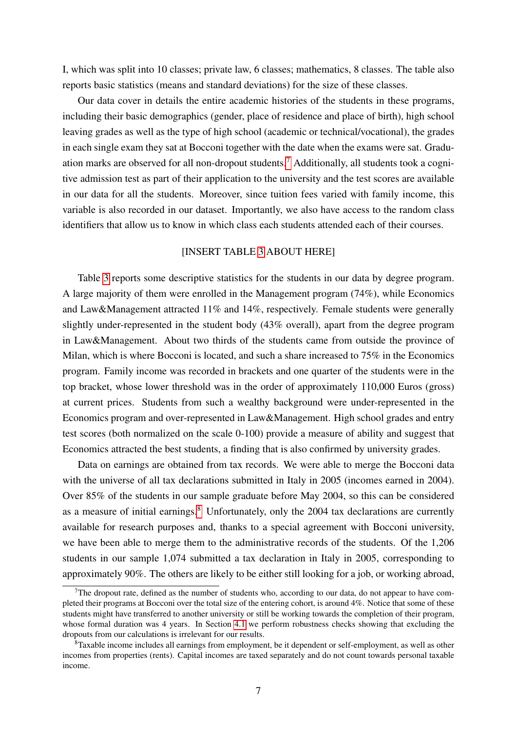I, which was split into 10 classes; private law, 6 classes; mathematics, 8 classes. The table also reports basic statistics (means and standard deviations) for the size of these classes.

Our data cover in details the entire academic histories of the students in these programs, including their basic demographics (gender, place of residence and place of birth), high school leaving grades as well as the type of high school (academic or technical/vocational), the grades in each single exam they sat at Bocconi together with the date when the exams were sat. Graduation marks are observed for all non-dropout students.[7](#page-8-0) Additionally, all students took a cognitive admission test as part of their application to the university and the test scores are available in our data for all the students. Moreover, since tuition fees varied with family income, this variable is also recorded in our dataset. Importantly, we also have access to the random class identifiers that allow us to know in which class each students attended each of their courses.

#### [INSERT TABLE [3](#page-32-1) ABOUT HERE]

Table [3](#page-32-1) reports some descriptive statistics for the students in our data by degree program. A large majority of them were enrolled in the Management program (74%), while Economics and Law&Management attracted 11% and 14%, respectively. Female students were generally slightly under-represented in the student body (43% overall), apart from the degree program in Law&Management. About two thirds of the students came from outside the province of Milan, which is where Bocconi is located, and such a share increased to 75% in the Economics program. Family income was recorded in brackets and one quarter of the students were in the top bracket, whose lower threshold was in the order of approximately 110,000 Euros (gross) at current prices. Students from such a wealthy background were under-represented in the Economics program and over-represented in Law&Management. High school grades and entry test scores (both normalized on the scale 0-100) provide a measure of ability and suggest that Economics attracted the best students, a finding that is also confirmed by university grades.

Data on earnings are obtained from tax records. We were able to merge the Bocconi data with the universe of all tax declarations submitted in Italy in 2005 (incomes earned in 2004). Over 85% of the students in our sample graduate before May 2004, so this can be considered as a measure of initial earnings.<sup>[8](#page-8-1)</sup> Unfortunately, only the 2004 tax declarations are currently available for research purposes and, thanks to a special agreement with Bocconi university, we have been able to merge them to the administrative records of the students. Of the 1,206 students in our sample 1,074 submitted a tax declaration in Italy in 2005, corresponding to approximately 90%. The others are likely to be either still looking for a job, or working abroad,

<span id="page-8-0"></span> $7$ The dropout rate, defined as the number of students who, according to our data, do not appear to have completed their programs at Bocconi over the total size of the entering cohort, is around 4%. Notice that some of these students might have transferred to another university or still be working towards the completion of their program, whose formal duration was 4 years. In Section [4.1](#page-20-0) we perform robustness checks showing that excluding the dropouts from our calculations is irrelevant for our results.

<span id="page-8-1"></span><sup>&</sup>lt;sup>8</sup>Taxable income includes all earnings from employment, be it dependent or self-employment, as well as other incomes from properties (rents). Capital incomes are taxed separately and do not count towards personal taxable income.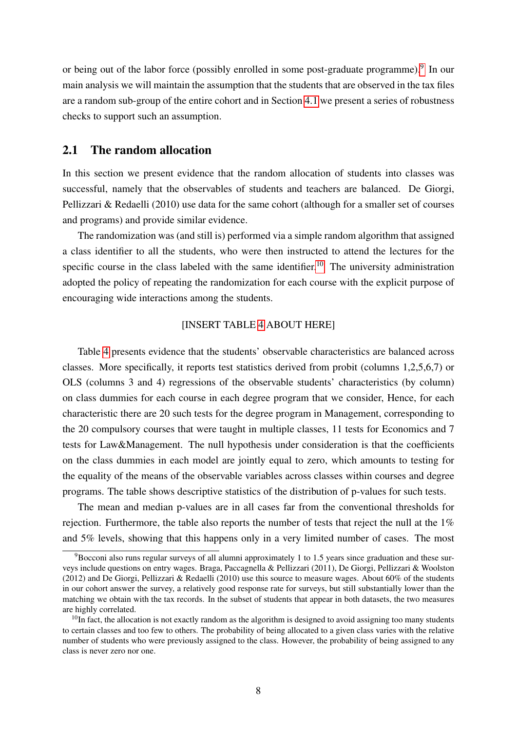or being out of the labor force (possibly enrolled in some post-graduate programme).<sup>[9](#page-9-0)</sup> In our main analysis we will maintain the assumption that the students that are observed in the tax files are a random sub-group of the entire cohort and in Section [4.1](#page-20-0) we present a series of robustness checks to support such an assumption.

### <span id="page-9-2"></span>2.1 The random allocation

In this section we present evidence that the random allocation of students into classes was successful, namely that the observables of students and teachers are balanced. De Giorgi, Pellizzari & Redaelli (2010) use data for the same cohort (although for a smaller set of courses and programs) and provide similar evidence.

The randomization was (and still is) performed via a simple random algorithm that assigned a class identifier to all the students, who were then instructed to attend the lectures for the specific course in the class labeled with the same identifier.<sup>[10](#page-9-1)</sup> The university administration adopted the policy of repeating the randomization for each course with the explicit purpose of encouraging wide interactions among the students.

#### [INSERT TABLE [4](#page-33-0) ABOUT HERE]

Table [4](#page-33-0) presents evidence that the students' observable characteristics are balanced across classes. More specifically, it reports test statistics derived from probit (columns 1,2,5,6,7) or OLS (columns 3 and 4) regressions of the observable students' characteristics (by column) on class dummies for each course in each degree program that we consider, Hence, for each characteristic there are 20 such tests for the degree program in Management, corresponding to the 20 compulsory courses that were taught in multiple classes, 11 tests for Economics and 7 tests for Law&Management. The null hypothesis under consideration is that the coefficients on the class dummies in each model are jointly equal to zero, which amounts to testing for the equality of the means of the observable variables across classes within courses and degree programs. The table shows descriptive statistics of the distribution of p-values for such tests.

The mean and median p-values are in all cases far from the conventional thresholds for rejection. Furthermore, the table also reports the number of tests that reject the null at the 1% and 5% levels, showing that this happens only in a very limited number of cases. The most

<span id="page-9-0"></span><sup>9</sup>Bocconi also runs regular surveys of all alumni approximately 1 to 1.5 years since graduation and these surveys include questions on entry wages. Braga, Paccagnella & Pellizzari (2011), De Giorgi, Pellizzari & Woolston (2012) and De Giorgi, Pellizzari & Redaelli (2010) use this source to measure wages. About 60% of the students in our cohort answer the survey, a relatively good response rate for surveys, but still substantially lower than the matching we obtain with the tax records. In the subset of students that appear in both datasets, the two measures are highly correlated.

<span id="page-9-1"></span> $10$ In fact, the allocation is not exactly random as the algorithm is designed to avoid assigning too many students to certain classes and too few to others. The probability of being allocated to a given class varies with the relative number of students who were previously assigned to the class. However, the probability of being assigned to any class is never zero nor one.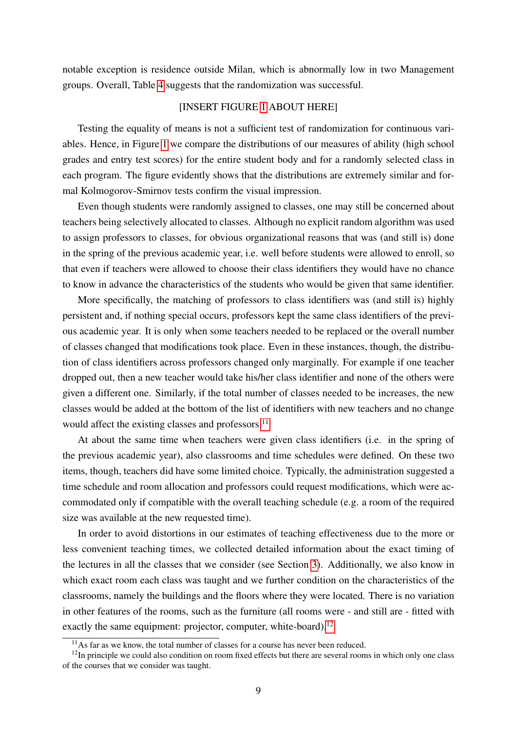notable exception is residence outside Milan, which is abnormally low in two Management groups. Overall, Table [4](#page-33-0) suggests that the randomization was successful.

#### [INSERT FIGURE [1](#page-29-0) ABOUT HERE]

Testing the equality of means is not a sufficient test of randomization for continuous variables. Hence, in Figure [1](#page-29-0) we compare the distributions of our measures of ability (high school grades and entry test scores) for the entire student body and for a randomly selected class in each program. The figure evidently shows that the distributions are extremely similar and formal Kolmogorov-Smirnov tests confirm the visual impression.

Even though students were randomly assigned to classes, one may still be concerned about teachers being selectively allocated to classes. Although no explicit random algorithm was used to assign professors to classes, for obvious organizational reasons that was (and still is) done in the spring of the previous academic year, i.e. well before students were allowed to enroll, so that even if teachers were allowed to choose their class identifiers they would have no chance to know in advance the characteristics of the students who would be given that same identifier.

More specifically, the matching of professors to class identifiers was (and still is) highly persistent and, if nothing special occurs, professors kept the same class identifiers of the previous academic year. It is only when some teachers needed to be replaced or the overall number of classes changed that modifications took place. Even in these instances, though, the distribution of class identifiers across professors changed only marginally. For example if one teacher dropped out, then a new teacher would take his/her class identifier and none of the others were given a different one. Similarly, if the total number of classes needed to be increases, the new classes would be added at the bottom of the list of identifiers with new teachers and no change would affect the existing classes and professors.<sup>[11](#page-10-0)</sup>

At about the same time when teachers were given class identifiers (i.e. in the spring of the previous academic year), also classrooms and time schedules were defined. On these two items, though, teachers did have some limited choice. Typically, the administration suggested a time schedule and room allocation and professors could request modifications, which were accommodated only if compatible with the overall teaching schedule (e.g. a room of the required size was available at the new requested time).

In order to avoid distortions in our estimates of teaching effectiveness due to the more or less convenient teaching times, we collected detailed information about the exact timing of the lectures in all the classes that we consider (see Section [3\)](#page-11-0). Additionally, we also know in which exact room each class was taught and we further condition on the characteristics of the classrooms, namely the buildings and the floors where they were located. There is no variation in other features of the rooms, such as the furniture (all rooms were - and still are - fitted with exactly the same equipment: projector, computer, white-board).<sup>[12](#page-10-1)</sup>

<span id="page-10-1"></span><span id="page-10-0"></span> $11$ As far as we know, the total number of classes for a course has never been reduced.

 $12$ In principle we could also condition on room fixed effects but there are several rooms in which only one class of the courses that we consider was taught.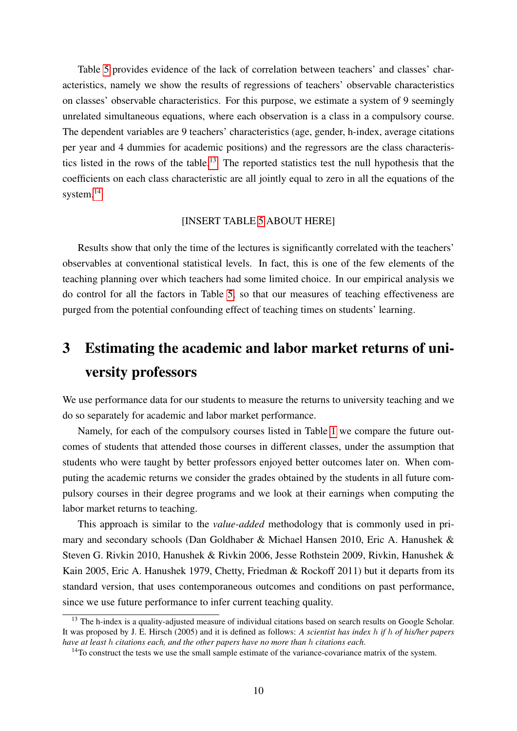Table [5](#page-34-0) provides evidence of the lack of correlation between teachers' and classes' characteristics, namely we show the results of regressions of teachers' observable characteristics on classes' observable characteristics. For this purpose, we estimate a system of 9 seemingly unrelated simultaneous equations, where each observation is a class in a compulsory course. The dependent variables are 9 teachers' characteristics (age, gender, h-index, average citations per year and 4 dummies for academic positions) and the regressors are the class characteris-tics listed in the rows of the table.<sup>[13](#page-11-1)</sup> The reported statistics test the null hypothesis that the coefficients on each class characteristic are all jointly equal to zero in all the equations of the system.<sup>[14](#page-11-2)</sup>

#### [INSERT TABLE [5](#page-34-0) ABOUT HERE]

Results show that only the time of the lectures is significantly correlated with the teachers' observables at conventional statistical levels. In fact, this is one of the few elements of the teaching planning over which teachers had some limited choice. In our empirical analysis we do control for all the factors in Table [5,](#page-34-0) so that our measures of teaching effectiveness are purged from the potential confounding effect of teaching times on students' learning.

# <span id="page-11-0"></span>3 Estimating the academic and labor market returns of university professors

We use performance data for our students to measure the returns to university teaching and we do so separately for academic and labor market performance.

Namely, for each of the compulsory courses listed in Table [1](#page-31-0) we compare the future outcomes of students that attended those courses in different classes, under the assumption that students who were taught by better professors enjoyed better outcomes later on. When computing the academic returns we consider the grades obtained by the students in all future compulsory courses in their degree programs and we look at their earnings when computing the labor market returns to teaching.

This approach is similar to the *value-added* methodology that is commonly used in primary and secondary schools (Dan Goldhaber & Michael Hansen 2010, Eric A. Hanushek & Steven G. Rivkin 2010, Hanushek & Rivkin 2006, Jesse Rothstein 2009, Rivkin, Hanushek & Kain 2005, Eric A. Hanushek 1979, Chetty, Friedman & Rockoff 2011) but it departs from its standard version, that uses contemporaneous outcomes and conditions on past performance, since we use future performance to infer current teaching quality.

<span id="page-11-1"></span><sup>&</sup>lt;sup>13</sup> The h-index is a quality-adjusted measure of individual citations based on search results on Google Scholar. It was proposed by J. E. Hirsch (2005) and it is defined as follows: *A scientist has index* h *if* h *of his/her papers have at least* h *citations each, and the other papers have no more than* h *citations each*.

<span id="page-11-2"></span><sup>&</sup>lt;sup>14</sup>To construct the tests we use the small sample estimate of the variance-covariance matrix of the system.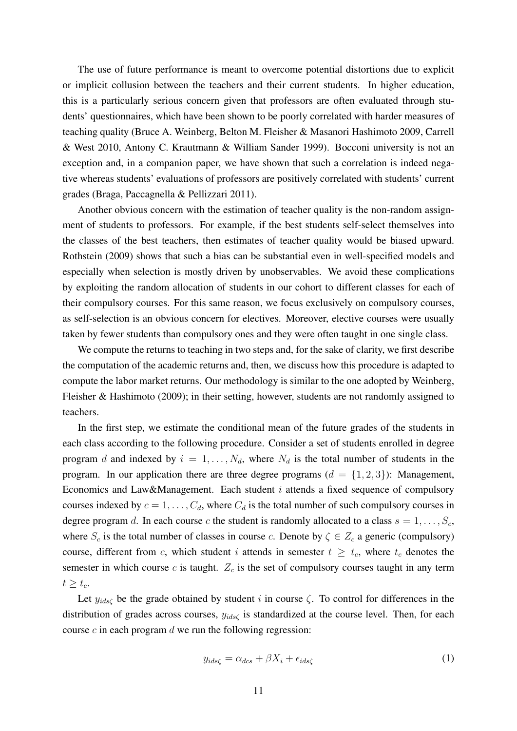The use of future performance is meant to overcome potential distortions due to explicit or implicit collusion between the teachers and their current students. In higher education, this is a particularly serious concern given that professors are often evaluated through students' questionnaires, which have been shown to be poorly correlated with harder measures of teaching quality (Bruce A. Weinberg, Belton M. Fleisher & Masanori Hashimoto 2009, Carrell & West 2010, Antony C. Krautmann & William Sander 1999). Bocconi university is not an exception and, in a companion paper, we have shown that such a correlation is indeed negative whereas students' evaluations of professors are positively correlated with students' current grades (Braga, Paccagnella & Pellizzari 2011).

Another obvious concern with the estimation of teacher quality is the non-random assignment of students to professors. For example, if the best students self-select themselves into the classes of the best teachers, then estimates of teacher quality would be biased upward. Rothstein (2009) shows that such a bias can be substantial even in well-specified models and especially when selection is mostly driven by unobservables. We avoid these complications by exploiting the random allocation of students in our cohort to different classes for each of their compulsory courses. For this same reason, we focus exclusively on compulsory courses, as self-selection is an obvious concern for electives. Moreover, elective courses were usually taken by fewer students than compulsory ones and they were often taught in one single class.

We compute the returns to teaching in two steps and, for the sake of clarity, we first describe the computation of the academic returns and, then, we discuss how this procedure is adapted to compute the labor market returns. Our methodology is similar to the one adopted by Weinberg, Fleisher & Hashimoto (2009); in their setting, however, students are not randomly assigned to teachers.

In the first step, we estimate the conditional mean of the future grades of the students in each class according to the following procedure. Consider a set of students enrolled in degree program d and indexed by  $i = 1, \ldots, N_d$ , where  $N_d$  is the total number of students in the program. In our application there are three degree programs  $(d = \{1, 2, 3\})$ : Management, Economics and Law&Management. Each student  $i$  attends a fixed sequence of compulsory courses indexed by  $c = 1, \ldots, C_d$ , where  $C_d$  is the total number of such compulsory courses in degree program d. In each course c the student is randomly allocated to a class  $s = 1, \ldots, S_c$ , where  $S_c$  is the total number of classes in course c. Denote by  $\zeta \in Z_c$  a generic (compulsory) course, different from c, which student i attends in semester  $t \geq t_c$ , where  $t_c$  denotes the semester in which course c is taught.  $Z_c$  is the set of compulsory courses taught in any term  $t \geq t_c$ .

Let  $y_{ids\zeta}$  be the grade obtained by student i in course  $\zeta$ . To control for differences in the distribution of grades across courses,  $y_{ids\zeta}$  is standardized at the course level. Then, for each course  $c$  in each program  $d$  we run the following regression:

<span id="page-12-0"></span>
$$
y_{ids\zeta} = \alpha_{dcs} + \beta X_i + \epsilon_{ids\zeta}
$$
 (1)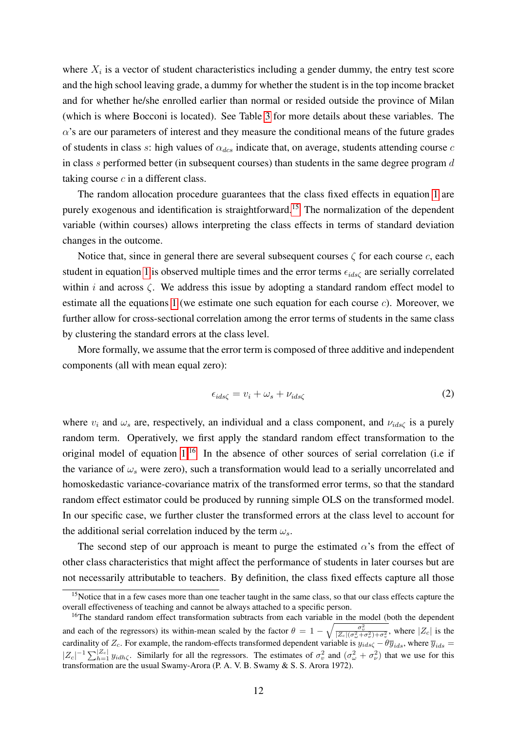where  $X_i$  is a vector of student characteristics including a gender dummy, the entry test score and the high school leaving grade, a dummy for whether the student is in the top income bracket and for whether he/she enrolled earlier than normal or resided outside the province of Milan (which is where Bocconi is located). See Table [3](#page-32-1) for more details about these variables. The  $\alpha$ 's are our parameters of interest and they measure the conditional means of the future grades of students in class s: high values of  $\alpha_{des}$  indicate that, on average, students attending course c in class s performed better (in subsequent courses) than students in the same degree program  $d$ taking course  $c$  in a different class.

The random allocation procedure guarantees that the class fixed effects in equation [1](#page-12-0) are purely exogenous and identification is straightforward.[15](#page-13-0) The normalization of the dependent variable (within courses) allows interpreting the class effects in terms of standard deviation changes in the outcome.

Notice that, since in general there are several subsequent courses  $\zeta$  for each course c, each student in equation [1](#page-12-0) is observed multiple times and the error terms  $\epsilon_{ids\zeta}$  are serially correlated within i and across  $\zeta$ . We address this issue by adopting a standard random effect model to estimate all the equations [1](#page-12-0) (we estimate one such equation for each course c). Moreover, we further allow for cross-sectional correlation among the error terms of students in the same class by clustering the standard errors at the class level.

More formally, we assume that the error term is composed of three additive and independent components (all with mean equal zero):

$$
\epsilon_{ids\zeta} = v_i + \omega_s + \nu_{ids\zeta} \tag{2}
$$

where  $v_i$  and  $\omega_s$  are, respectively, an individual and a class component, and  $v_{ids}$  is a purely random term. Operatively, we first apply the standard random effect transformation to the original model of equation [1.](#page-12-0)<sup>[16](#page-13-1)</sup> In the absence of other sources of serial correlation (i.e if the variance of  $\omega_s$  were zero), such a transformation would lead to a serially uncorrelated and homoskedastic variance-covariance matrix of the transformed error terms, so that the standard random effect estimator could be produced by running simple OLS on the transformed model. In our specific case, we further cluster the transformed errors at the class level to account for the additional serial correlation induced by the term  $\omega_s$ .

The second step of our approach is meant to purge the estimated  $\alpha$ 's from the effect of other class characteristics that might affect the performance of students in later courses but are not necessarily attributable to teachers. By definition, the class fixed effects capture all those

<span id="page-13-0"></span><sup>&</sup>lt;sup>15</sup>Notice that in a few cases more than one teacher taught in the same class, so that our class effects capture the overall effectiveness of teaching and cannot be always attached to a specific person.

<span id="page-13-1"></span><sup>&</sup>lt;sup>16</sup>The standard random effect transformation subtracts from each variable in the model (both the dependent and each of the regressors) its within-mean scaled by the factor  $\theta = 1 - \sqrt{\frac{\sigma_v^2}{|Z_c|(\sigma_\omega^2 + \sigma_\nu^2) + \sigma_v^2}}$ , where  $|Z_c|$  is the cardinality of  $Z_c$ . For example, the random-effects transformed dependent variable is  $y_{ids\zeta} - \theta \overline{y}_{ids}$ , where  $\overline{y}_{ids} =$  $|Z_c|^{-1} \sum_{h=1}^{|Z_c|} y_{idh\zeta}$ . Similarly for all the regressors. The estimates of  $\sigma_v^2$  and  $(\sigma_\omega^2 + \sigma_\nu^2)$  that we use for this transformation are the usual Swamy-Arora (P. A. V. B. Swamy & S. S. Arora 1972).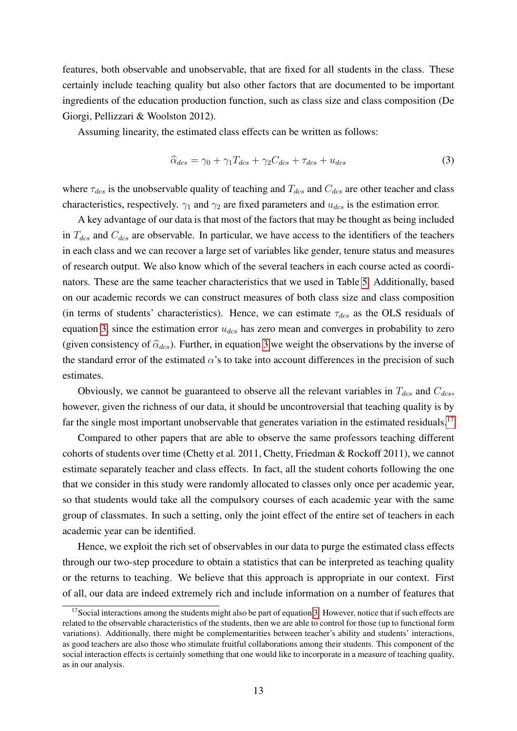features, both observable and unobservable, that are fixed for all students in the class. These certainly include teaching quality but also other factors that are documented to be important ingredients of the education production function, such as class size and class composition (De Giorgi, Pellizzari & Woolston 2012).

Assuming linearity, the estimated class effects can be written as follows:

<span id="page-14-0"></span>
$$
\widehat{\alpha}_{dcs} = \gamma_0 + \gamma_1 T_{dcs} + \gamma_2 C_{dcs} + \tau_{dcs} + u_{dcs} \tag{3}
$$

where  $\tau_{des}$  is the unobservable quality of teaching and  $T_{des}$  and  $C_{des}$  are other teacher and class characteristics, respectively.  $\gamma_1$  and  $\gamma_2$  are fixed parameters and  $u_{dcs}$  is the estimation error.

A key advantage of our data is that most of the factors that may be thought as being included in  $T_{dcs}$  and  $C_{dcs}$  are observable. In particular, we have access to the identifiers of the teachers in each class and we can recover a large set of variables like gender, tenure status and measures of research output. We also know which of the several teachers in each course acted as coordinators. These are the same teacher characteristics that we used in Table [5.](#page-34-0) Additionally, based on our academic records we can construct measures of both class size and class composition (in terms of students' characteristics). Hence, we can estimate  $\tau_{dcs}$  as the OLS residuals of equation [3,](#page-14-0) since the estimation error  $u_{dcs}$  has zero mean and converges in probability to zero (given consistency of  $\hat{\alpha}_{des}$ ). Further, in equation [3](#page-14-0) we weight the observations by the inverse of the standard error of the estimated  $\alpha$ 's to take into account differences in the precision of such estimates.

Obviously, we cannot be guaranteed to observe all the relevant variables in  $T_{dcs}$  and  $C_{dcs}$ , however, given the richness of our data, it should be uncontroversial that teaching quality is by far the single most important unobservable that generates variation in the estimated residuals.<sup>[17](#page-14-1)</sup>

Compared to other papers that are able to observe the same professors teaching different cohorts of students over time (Chetty et al. 2011, Chetty, Friedman & Rockoff 2011), we cannot estimate separately teacher and class effects. In fact, all the student cohorts following the one that we consider in this study were randomly allocated to classes only once per academic year, so that students would take all the compulsory courses of each academic year with the same group of classmates. In such a setting, only the joint effect of the entire set of teachers in each academic year can be identified.

Hence, we exploit the rich set of observables in our data to purge the estimated class effects through our two-step procedure to obtain a statistics that can be interpreted as teaching quality or the returns to teaching. We believe that this approach is appropriate in our context. First of all, our data are indeed extremely rich and include information on a number of features that

<span id="page-14-1"></span> $17$ Social interactions among the students might also be part of equation [3.](#page-14-0) However, notice that if such effects are related to the observable characteristics of the students, then we are able to control for those (up to functional form variations). Additionally, there might be complementarities between teacher's ability and students' interactions, as good teachers are also those who stimulate fruitful collaborations among their students. This component of the social interaction effects is certainly something that one would like to incorporate in a measure of teaching quality, as in our analysis.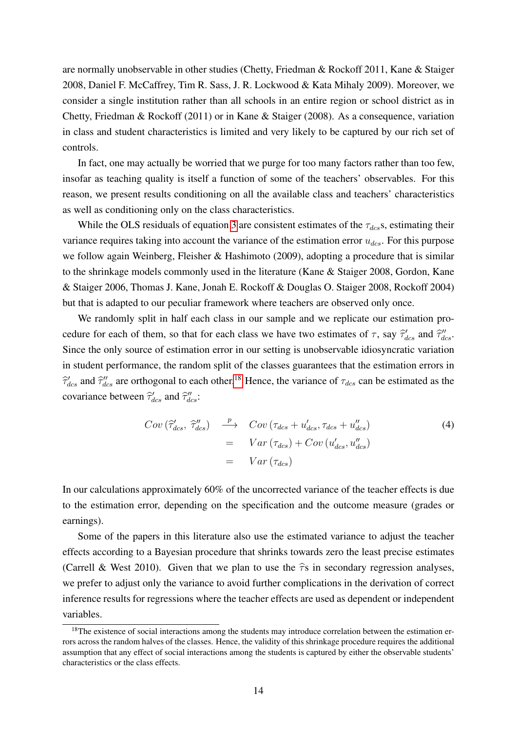are normally unobservable in other studies (Chetty, Friedman & Rockoff 2011, Kane & Staiger 2008, Daniel F. McCaffrey, Tim R. Sass, J. R. Lockwood & Kata Mihaly 2009). Moreover, we consider a single institution rather than all schools in an entire region or school district as in Chetty, Friedman & Rockoff (2011) or in Kane & Staiger (2008). As a consequence, variation in class and student characteristics is limited and very likely to be captured by our rich set of controls.

In fact, one may actually be worried that we purge for too many factors rather than too few, insofar as teaching quality is itself a function of some of the teachers' observables. For this reason, we present results conditioning on all the available class and teachers' characteristics as well as conditioning only on the class characteristics.

While the OLS residuals of equation [3](#page-14-0) are consistent estimates of the  $\tau_{des}$ s, estimating their variance requires taking into account the variance of the estimation error  $u_{dcs}$ . For this purpose we follow again Weinberg, Fleisher & Hashimoto (2009), adopting a procedure that is similar to the shrinkage models commonly used in the literature (Kane & Staiger 2008, Gordon, Kane & Staiger 2006, Thomas J. Kane, Jonah E. Rockoff & Douglas O. Staiger 2008, Rockoff 2004) but that is adapted to our peculiar framework where teachers are observed only once.

We randomly split in half each class in our sample and we replicate our estimation procedure for each of them, so that for each class we have two estimates of  $\tau$ , say  $\hat{\tau}_{des}$  and  $\hat{\tau}_{des}''$ . Since the only source of estimation error in our setting is unobservable idiosyncratic variation in student performance, the random split of the classes guarantees that the estimation errors in  $\hat{\tau}_{des}$  and  $\hat{\tau}_{des}''$  are orthogonal to each other.<sup>[18](#page-15-0)</sup> Hence, the variance of  $\tau_{des}$  can be estimated as the covariance between  $\hat{\tau}_{dcs}$  and  $\hat{\tau}_{dcs}$ :

$$
Cov\left(\tilde{\tau}_{dcs}^{\prime}, \tilde{\tau}_{dcs}^{\prime\prime}\right) \xrightarrow{p} Cov\left(\tau_{dcs} + u_{dcs}^{\prime}, \tau_{dcs} + u_{dcs}^{\prime\prime}\right)
$$
\n
$$
= Var\left(\tau_{dcs}\right) + Cov\left(u_{dcs}^{\prime}, u_{dcs}^{\prime\prime}\right)
$$
\n
$$
= Var\left(\tau_{dcs}\right)
$$
\n(4)

In our calculations approximately 60% of the uncorrected variance of the teacher effects is due to the estimation error, depending on the specification and the outcome measure (grades or earnings).

Some of the papers in this literature also use the estimated variance to adjust the teacher effects according to a Bayesian procedure that shrinks towards zero the least precise estimates (Carrell & West 2010). Given that we plan to use the  $\hat{\tau}$ s in secondary regression analyses, we prefer to adjust only the variance to avoid further complications in the derivation of correct inference results for regressions where the teacher effects are used as dependent or independent variables.

<span id="page-15-0"></span><sup>&</sup>lt;sup>18</sup>The existence of social interactions among the students may introduce correlation between the estimation errors across the random halves of the classes. Hence, the validity of this shrinkage procedure requires the additional assumption that any effect of social interactions among the students is captured by either the observable students' characteristics or the class effects.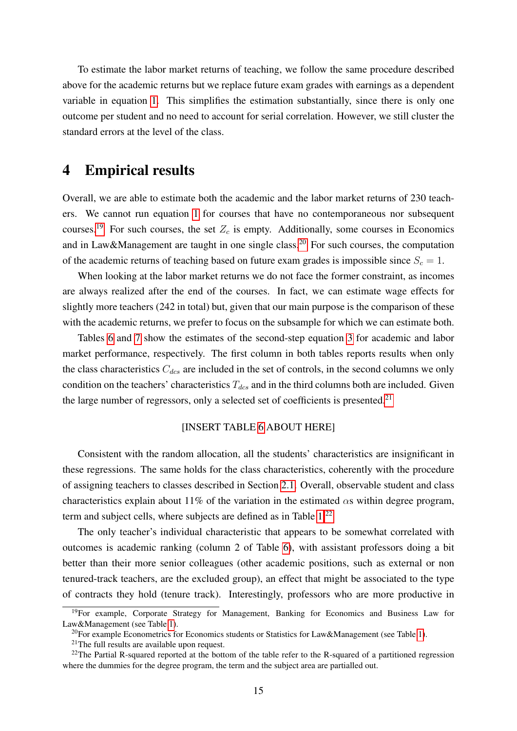To estimate the labor market returns of teaching, we follow the same procedure described above for the academic returns but we replace future exam grades with earnings as a dependent variable in equation [1.](#page-12-0) This simplifies the estimation substantially, since there is only one outcome per student and no need to account for serial correlation. However, we still cluster the standard errors at the level of the class.

### <span id="page-16-0"></span>4 Empirical results

Overall, we are able to estimate both the academic and the labor market returns of 230 teachers. We cannot run equation [1](#page-12-0) for courses that have no contemporaneous nor subsequent courses.<sup>[19](#page-16-1)</sup> For such courses, the set  $Z_c$  is empty. Additionally, some courses in Economics and in Law&Management are taught in one single class.<sup>[20](#page-16-2)</sup> For such courses, the computation of the academic returns of teaching based on future exam grades is impossible since  $S_c = 1$ .

When looking at the labor market returns we do not face the former constraint, as incomes are always realized after the end of the courses. In fact, we can estimate wage effects for slightly more teachers (242 in total) but, given that our main purpose is the comparison of these with the academic returns, we prefer to focus on the subsample for which we can estimate both.

Tables [6](#page-35-0) and [7](#page-36-0) show the estimates of the second-step equation [3](#page-14-0) for academic and labor market performance, respectively. The first column in both tables reports results when only the class characteristics  $C_{dcs}$  are included in the set of controls, in the second columns we only condition on the teachers' characteristics  $T_{des}$  and in the third columns both are included. Given the large number of regressors, only a selected set of coefficients is presented. $21$ 

#### [INSERT TABLE [6](#page-35-0) ABOUT HERE]

Consistent with the random allocation, all the students' characteristics are insignificant in these regressions. The same holds for the class characteristics, coherently with the procedure of assigning teachers to classes described in Section [2.1.](#page-9-2) Overall, observable student and class characteristics explain about 11% of the variation in the estimated  $\alpha$ s within degree program, term and subject cells, where subjects are defined as in Table  $1<sup>22</sup>$  $1<sup>22</sup>$  $1<sup>22</sup>$ 

The only teacher's individual characteristic that appears to be somewhat correlated with outcomes is academic ranking (column 2 of Table [6\)](#page-35-0), with assistant professors doing a bit better than their more senior colleagues (other academic positions, such as external or non tenured-track teachers, are the excluded group), an effect that might be associated to the type of contracts they hold (tenure track). Interestingly, professors who are more productive in

<span id="page-16-1"></span><sup>&</sup>lt;sup>19</sup>For example, Corporate Strategy for Management, Banking for Economics and Business Law for Law&Management (see Table [1\)](#page-31-0).

<span id="page-16-2"></span><sup>&</sup>lt;sup>20</sup>For example Econometrics for Economics students or Statistics for Law&Management (see Table [1\)](#page-31-0).

<span id="page-16-4"></span><span id="page-16-3"></span><sup>21</sup>The full results are available upon request.

<sup>&</sup>lt;sup>22</sup>The Partial R-squared reported at the bottom of the table refer to the R-squared of a partitioned regression where the dummies for the degree program, the term and the subject area are partialled out.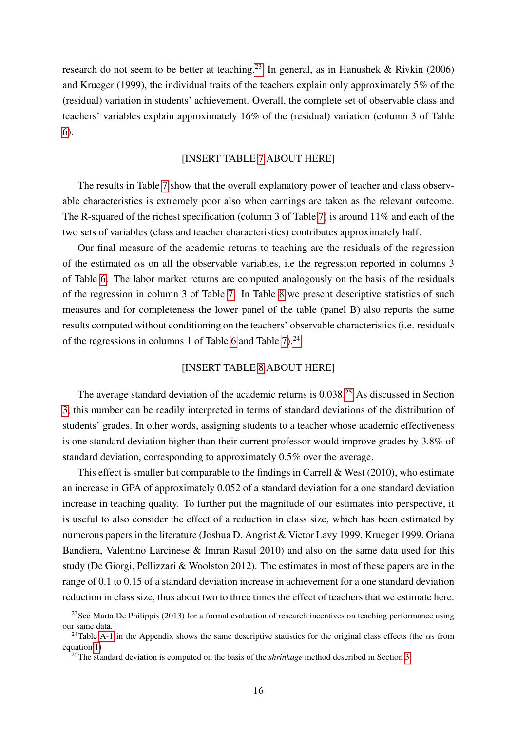research do not seem to be better at teaching.<sup>[23](#page-17-0)</sup> In general, as in Hanushek & Rivkin (2006) and Krueger (1999), the individual traits of the teachers explain only approximately 5% of the (residual) variation in students' achievement. Overall, the complete set of observable class and teachers' variables explain approximately 16% of the (residual) variation (column 3 of Table [6\)](#page-35-0).

#### [INSERT TABLE [7](#page-36-0) ABOUT HERE]

The results in Table [7](#page-36-0) show that the overall explanatory power of teacher and class observable characteristics is extremely poor also when earnings are taken as the relevant outcome. The R-squared of the richest specification (column 3 of Table [7\)](#page-36-0) is around  $11\%$  and each of the two sets of variables (class and teacher characteristics) contributes approximately half.

Our final measure of the academic returns to teaching are the residuals of the regression of the estimated  $\alpha$ s on all the observable variables, i.e the regression reported in columns 3 of Table [6.](#page-35-0) The labor market returns are computed analogously on the basis of the residuals of the regression in column 3 of Table [7.](#page-36-0) In Table [8](#page-37-0) we present descriptive statistics of such measures and for completeness the lower panel of the table (panel B) also reports the same results computed without conditioning on the teachers' observable characteristics (i.e. residuals of the regressions in columns 1 of Table [6](#page-35-0) and Table [7\)](#page-36-0). $^{24}$  $^{24}$  $^{24}$ 

#### [INSERT TABLE [8](#page-37-0) ABOUT HERE]

The average standard deviation of the academic returns is  $0.038<sup>25</sup>$  $0.038<sup>25</sup>$  $0.038<sup>25</sup>$  As discussed in Section [3,](#page-11-0) this number can be readily interpreted in terms of standard deviations of the distribution of students' grades. In other words, assigning students to a teacher whose academic effectiveness is one standard deviation higher than their current professor would improve grades by 3.8% of standard deviation, corresponding to approximately 0.5% over the average.

This effect is smaller but comparable to the findings in Carrell  $\&$  West (2010), who estimate an increase in GPA of approximately 0.052 of a standard deviation for a one standard deviation increase in teaching quality. To further put the magnitude of our estimates into perspective, it is useful to also consider the effect of a reduction in class size, which has been estimated by numerous papers in the literature (Joshua D. Angrist & Victor Lavy 1999, Krueger 1999, Oriana Bandiera, Valentino Larcinese & Imran Rasul 2010) and also on the same data used for this study (De Giorgi, Pellizzari & Woolston 2012). The estimates in most of these papers are in the range of 0.1 to 0.15 of a standard deviation increase in achievement for a one standard deviation reduction in class size, thus about two to three times the effect of teachers that we estimate here.

<span id="page-17-0"></span> $^{23}$ See Marta De Philippis (2013) for a formal evaluation of research incentives on teaching performance using our same data.

<span id="page-17-1"></span><sup>&</sup>lt;sup>24</sup>Table [A-1](#page-31-0) in the Appendix shows the same descriptive statistics for the original class effects (the  $\alpha$ s from equation [1\)](#page-12-0)

<span id="page-17-2"></span><sup>&</sup>lt;sup>25</sup>The standard deviation is computed on the basis of the *shrinkage* method described in Section [3.](#page-11-0)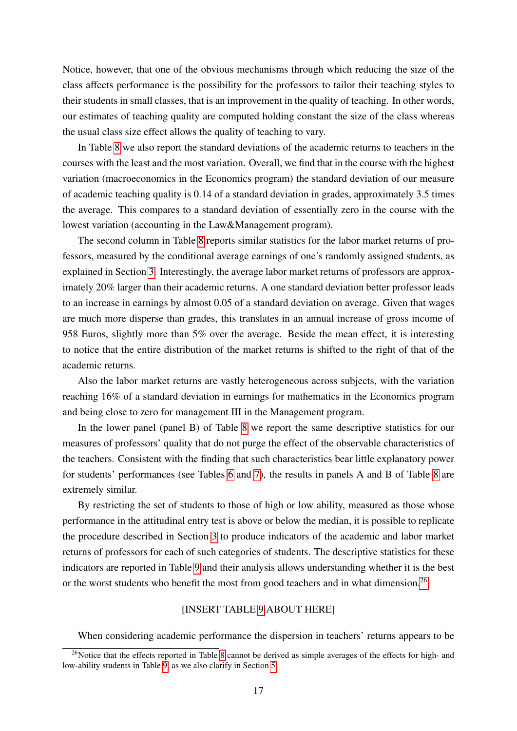Notice, however, that one of the obvious mechanisms through which reducing the size of the class affects performance is the possibility for the professors to tailor their teaching styles to their students in small classes, that is an improvement in the quality of teaching. In other words, our estimates of teaching quality are computed holding constant the size of the class whereas the usual class size effect allows the quality of teaching to vary.

In Table [8](#page-37-0) we also report the standard deviations of the academic returns to teachers in the courses with the least and the most variation. Overall, we find that in the course with the highest variation (macroeconomics in the Economics program) the standard deviation of our measure of academic teaching quality is 0.14 of a standard deviation in grades, approximately 3.5 times the average. This compares to a standard deviation of essentially zero in the course with the lowest variation (accounting in the Law&Management program).

The second column in Table [8](#page-37-0) reports similar statistics for the labor market returns of professors, measured by the conditional average earnings of one's randomly assigned students, as explained in Section [3.](#page-11-0) Interestingly, the average labor market returns of professors are approximately 20% larger than their academic returns. A one standard deviation better professor leads to an increase in earnings by almost 0.05 of a standard deviation on average. Given that wages are much more disperse than grades, this translates in an annual increase of gross income of 958 Euros, slightly more than 5% over the average. Beside the mean effect, it is interesting to notice that the entire distribution of the market returns is shifted to the right of that of the academic returns.

Also the labor market returns are vastly heterogeneous across subjects, with the variation reaching 16% of a standard deviation in earnings for mathematics in the Economics program and being close to zero for management III in the Management program.

In the lower panel (panel B) of Table [8](#page-37-0) we report the same descriptive statistics for our measures of professors' quality that do not purge the effect of the observable characteristics of the teachers. Consistent with the finding that such characteristics bear little explanatory power for students' performances (see Tables [6](#page-35-0) and [7\)](#page-36-0), the results in panels A and B of Table [8](#page-37-0) are extremely similar.

By restricting the set of students to those of high or low ability, measured as those whose performance in the attitudinal entry test is above or below the median, it is possible to replicate the procedure described in Section [3](#page-11-0) to produce indicators of the academic and labor market returns of professors for each of such categories of students. The descriptive statistics for these indicators are reported in Table [9](#page-37-1) and their analysis allows understanding whether it is the best or the worst students who benefit the most from good teachers and in what dimension.[26](#page-18-0)

#### [INSERT TABLE [9](#page-37-1) ABOUT HERE]

<span id="page-18-0"></span>When considering academic performance the dispersion in teachers' returns appears to be

<sup>&</sup>lt;sup>26</sup>Notice that the effects reported in Table [8](#page-37-0) cannot be derived as simple averages of the effects for high- and low-ability students in Table [9,](#page-37-1) as we also clarify in Section [5.](#page-22-0)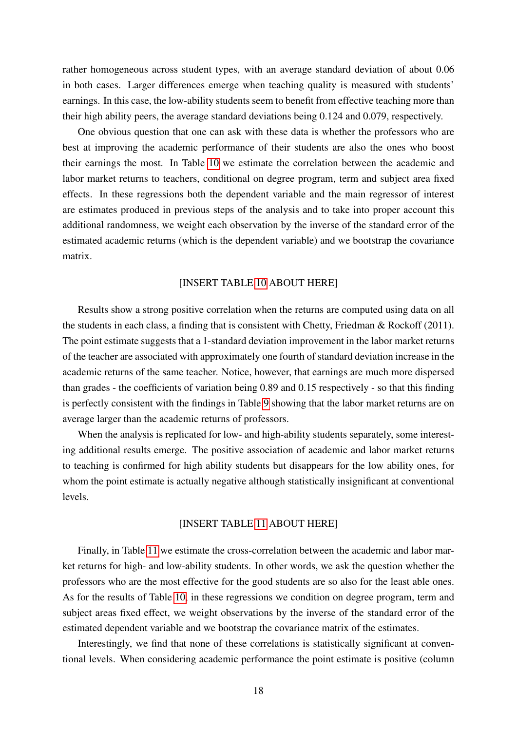rather homogeneous across student types, with an average standard deviation of about 0.06 in both cases. Larger differences emerge when teaching quality is measured with students' earnings. In this case, the low-ability students seem to benefit from effective teaching more than their high ability peers, the average standard deviations being 0.124 and 0.079, respectively.

One obvious question that one can ask with these data is whether the professors who are best at improving the academic performance of their students are also the ones who boost their earnings the most. In Table [10](#page-38-0) we estimate the correlation between the academic and labor market returns to teachers, conditional on degree program, term and subject area fixed effects. In these regressions both the dependent variable and the main regressor of interest are estimates produced in previous steps of the analysis and to take into proper account this additional randomness, we weight each observation by the inverse of the standard error of the estimated academic returns (which is the dependent variable) and we bootstrap the covariance matrix.

#### [INSERT TABLE [10](#page-38-0) ABOUT HERE]

Results show a strong positive correlation when the returns are computed using data on all the students in each class, a finding that is consistent with Chetty, Friedman & Rockoff (2011). The point estimate suggests that a 1-standard deviation improvement in the labor market returns of the teacher are associated with approximately one fourth of standard deviation increase in the academic returns of the same teacher. Notice, however, that earnings are much more dispersed than grades - the coefficients of variation being 0.89 and 0.15 respectively - so that this finding is perfectly consistent with the findings in Table [9](#page-37-1) showing that the labor market returns are on average larger than the academic returns of professors.

When the analysis is replicated for low- and high-ability students separately, some interesting additional results emerge. The positive association of academic and labor market returns to teaching is confirmed for high ability students but disappears for the low ability ones, for whom the point estimate is actually negative although statistically insignificant at conventional levels.

#### [INSERT TABLE [11](#page-38-1) ABOUT HERE]

Finally, in Table [11](#page-38-1) we estimate the cross-correlation between the academic and labor market returns for high- and low-ability students. In other words, we ask the question whether the professors who are the most effective for the good students are so also for the least able ones. As for the results of Table [10,](#page-38-0) in these regressions we condition on degree program, term and subject areas fixed effect, we weight observations by the inverse of the standard error of the estimated dependent variable and we bootstrap the covariance matrix of the estimates.

Interestingly, we find that none of these correlations is statistically significant at conventional levels. When considering academic performance the point estimate is positive (column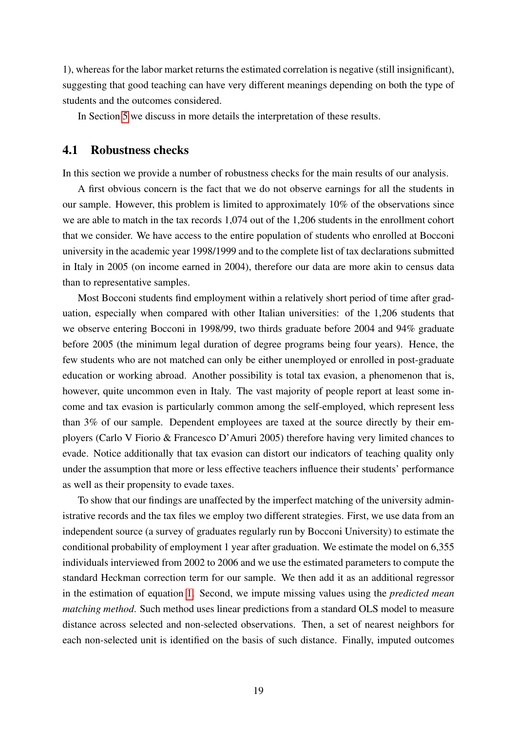1), whereas for the labor market returns the estimated correlation is negative (still insignificant), suggesting that good teaching can have very different meanings depending on both the type of students and the outcomes considered.

In Section [5](#page-22-0) we discuss in more details the interpretation of these results.

### <span id="page-20-0"></span>4.1 Robustness checks

In this section we provide a number of robustness checks for the main results of our analysis.

A first obvious concern is the fact that we do not observe earnings for all the students in our sample. However, this problem is limited to approximately 10% of the observations since we are able to match in the tax records 1,074 out of the 1,206 students in the enrollment cohort that we consider. We have access to the entire population of students who enrolled at Bocconi university in the academic year 1998/1999 and to the complete list of tax declarations submitted in Italy in 2005 (on income earned in 2004), therefore our data are more akin to census data than to representative samples.

Most Bocconi students find employment within a relatively short period of time after graduation, especially when compared with other Italian universities: of the 1,206 students that we observe entering Bocconi in 1998/99, two thirds graduate before 2004 and 94% graduate before 2005 (the minimum legal duration of degree programs being four years). Hence, the few students who are not matched can only be either unemployed or enrolled in post-graduate education or working abroad. Another possibility is total tax evasion, a phenomenon that is, however, quite uncommon even in Italy. The vast majority of people report at least some income and tax evasion is particularly common among the self-employed, which represent less than 3% of our sample. Dependent employees are taxed at the source directly by their employers (Carlo V Fiorio & Francesco D'Amuri 2005) therefore having very limited chances to evade. Notice additionally that tax evasion can distort our indicators of teaching quality only under the assumption that more or less effective teachers influence their students' performance as well as their propensity to evade taxes.

To show that our findings are unaffected by the imperfect matching of the university administrative records and the tax files we employ two different strategies. First, we use data from an independent source (a survey of graduates regularly run by Bocconi University) to estimate the conditional probability of employment 1 year after graduation. We estimate the model on 6,355 individuals interviewed from 2002 to 2006 and we use the estimated parameters to compute the standard Heckman correction term for our sample. We then add it as an additional regressor in the estimation of equation [1.](#page-12-0) Second, we impute missing values using the *predicted mean matching method*. Such method uses linear predictions from a standard OLS model to measure distance across selected and non-selected observations. Then, a set of nearest neighbors for each non-selected unit is identified on the basis of such distance. Finally, imputed outcomes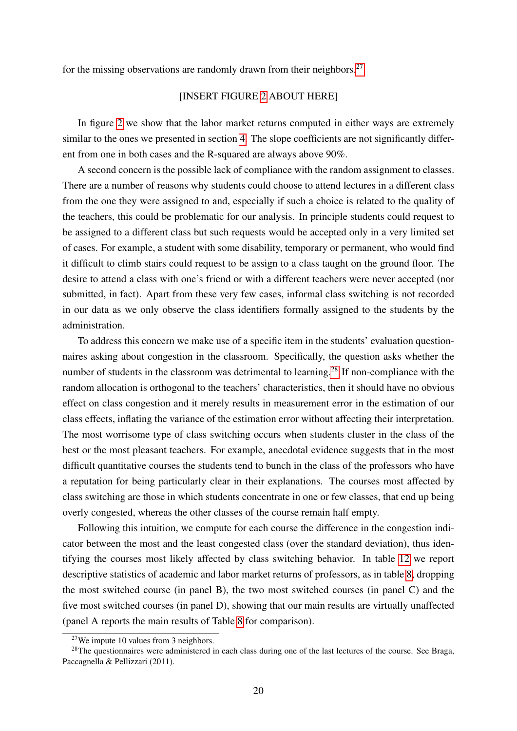for the missing observations are randomly drawn from their neighbors.<sup>[27](#page-21-0)</sup>

#### [INSERT FIGURE [2](#page-30-0) ABOUT HERE]

In figure [2](#page-30-0) we show that the labor market returns computed in either ways are extremely similar to the ones we presented in section [4.](#page-16-0) The slope coefficients are not significantly different from one in both cases and the R-squared are always above 90%.

A second concern is the possible lack of compliance with the random assignment to classes. There are a number of reasons why students could choose to attend lectures in a different class from the one they were assigned to and, especially if such a choice is related to the quality of the teachers, this could be problematic for our analysis. In principle students could request to be assigned to a different class but such requests would be accepted only in a very limited set of cases. For example, a student with some disability, temporary or permanent, who would find it difficult to climb stairs could request to be assign to a class taught on the ground floor. The desire to attend a class with one's friend or with a different teachers were never accepted (nor submitted, in fact). Apart from these very few cases, informal class switching is not recorded in our data as we only observe the class identifiers formally assigned to the students by the administration.

To address this concern we make use of a specific item in the students' evaluation questionnaires asking about congestion in the classroom. Specifically, the question asks whether the number of students in the classroom was detrimental to learning.<sup>[28](#page-21-1)</sup> If non-compliance with the random allocation is orthogonal to the teachers' characteristics, then it should have no obvious effect on class congestion and it merely results in measurement error in the estimation of our class effects, inflating the variance of the estimation error without affecting their interpretation. The most worrisome type of class switching occurs when students cluster in the class of the best or the most pleasant teachers. For example, anecdotal evidence suggests that in the most difficult quantitative courses the students tend to bunch in the class of the professors who have a reputation for being particularly clear in their explanations. The courses most affected by class switching are those in which students concentrate in one or few classes, that end up being overly congested, whereas the other classes of the course remain half empty.

Following this intuition, we compute for each course the difference in the congestion indicator between the most and the least congested class (over the standard deviation), thus identifying the courses most likely affected by class switching behavior. In table [12](#page-39-0) we report descriptive statistics of academic and labor market returns of professors, as in table [8,](#page-37-0) dropping the most switched course (in panel B), the two most switched courses (in panel C) and the five most switched courses (in panel D), showing that our main results are virtually unaffected (panel A reports the main results of Table [8](#page-37-0) for comparison).

<span id="page-21-1"></span><span id="page-21-0"></span> $27$ We impute 10 values from 3 neighbors.

<sup>&</sup>lt;sup>28</sup>The questionnaires were administered in each class during one of the last lectures of the course. See Braga, Paccagnella & Pellizzari (2011).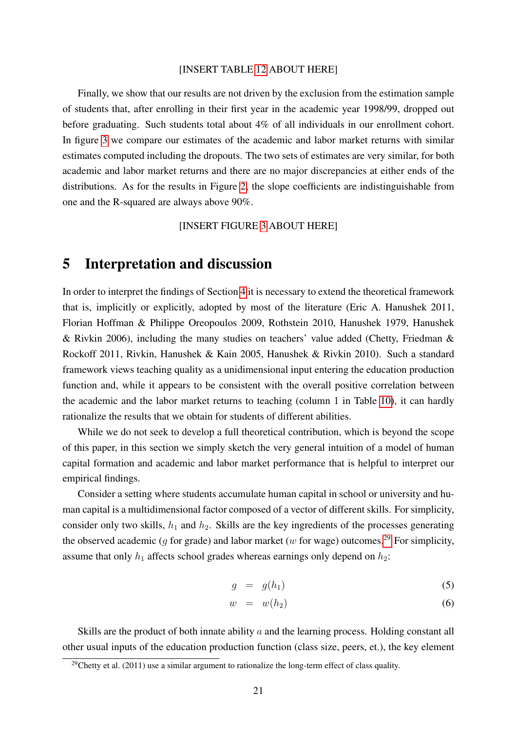#### [INSERT TABLE [12](#page-39-0) ABOUT HERE]

Finally, we show that our results are not driven by the exclusion from the estimation sample of students that, after enrolling in their first year in the academic year 1998/99, dropped out before graduating. Such students total about 4% of all individuals in our enrollment cohort. In figure [3](#page-30-1) we compare our estimates of the academic and labor market returns with similar estimates computed including the dropouts. The two sets of estimates are very similar, for both academic and labor market returns and there are no major discrepancies at either ends of the distributions. As for the results in Figure [2,](#page-30-0) the slope coefficients are indistinguishable from one and the R-squared are always above 90%.

[INSERT FIGURE [3](#page-30-1) ABOUT HERE]

## <span id="page-22-0"></span>5 Interpretation and discussion

In order to interpret the findings of Section [4](#page-16-0) it is necessary to extend the theoretical framework that is, implicitly or explicitly, adopted by most of the literature (Eric A. Hanushek 2011, Florian Hoffman & Philippe Oreopoulos 2009, Rothstein 2010, Hanushek 1979, Hanushek & Rivkin 2006), including the many studies on teachers' value added (Chetty, Friedman & Rockoff 2011, Rivkin, Hanushek & Kain 2005, Hanushek & Rivkin 2010). Such a standard framework views teaching quality as a unidimensional input entering the education production function and, while it appears to be consistent with the overall positive correlation between the academic and the labor market returns to teaching (column 1 in Table [10\)](#page-38-0), it can hardly rationalize the results that we obtain for students of different abilities.

While we do not seek to develop a full theoretical contribution, which is beyond the scope of this paper, in this section we simply sketch the very general intuition of a model of human capital formation and academic and labor market performance that is helpful to interpret our empirical findings.

Consider a setting where students accumulate human capital in school or university and human capital is a multidimensional factor composed of a vector of different skills. For simplicity, consider only two skills,  $h_1$  and  $h_2$ . Skills are the key ingredients of the processes generating the observed academic (g for grade) and labor market (w for wage) outcomes.<sup>[29](#page-22-1)</sup> For simplicity, assume that only  $h_1$  affects school grades whereas earnings only depend on  $h_2$ :

<span id="page-22-2"></span>
$$
g = g(h_1) \tag{5}
$$

$$
w = w(h_2) \tag{6}
$$

Skills are the product of both innate ability  $\alpha$  and the learning process. Holding constant all other usual inputs of the education production function (class size, peers, et.), the key element

<span id="page-22-1"></span><sup>&</sup>lt;sup>29</sup>Chetty et al. (2011) use a similar argument to rationalize the long-term effect of class quality.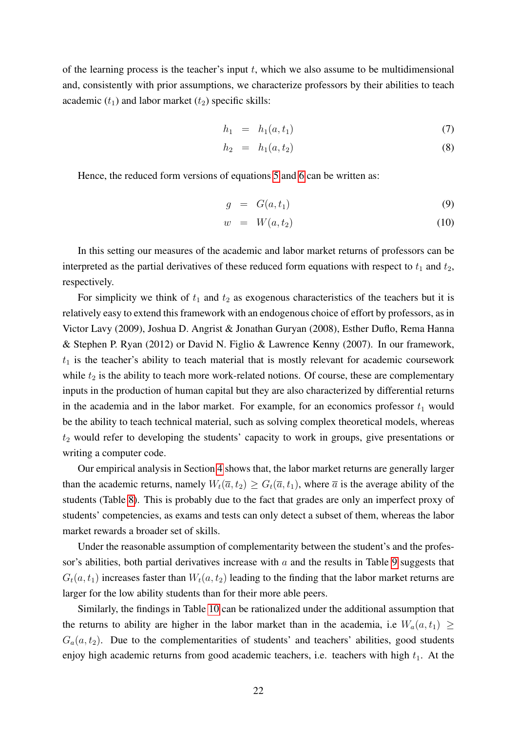of the learning process is the teacher's input  $t$ , which we also assume to be multidimensional and, consistently with prior assumptions, we characterize professors by their abilities to teach academic  $(t_1)$  and labor market  $(t_2)$  specific skills:

$$
h_1 = h_1(a, t_1) \tag{7}
$$

$$
h_2 = h_1(a, t_2) \tag{8}
$$

Hence, the reduced form versions of equations [5](#page-22-2) and [6](#page-22-2) can be written as:

$$
g = G(a, t_1) \tag{9}
$$

$$
w = W(a, t_2) \tag{10}
$$

In this setting our measures of the academic and labor market returns of professors can be interpreted as the partial derivatives of these reduced form equations with respect to  $t_1$  and  $t_2$ , respectively.

For simplicity we think of  $t_1$  and  $t_2$  as exogenous characteristics of the teachers but it is relatively easy to extend this framework with an endogenous choice of effort by professors, as in Victor Lavy (2009), Joshua D. Angrist & Jonathan Guryan (2008), Esther Duflo, Rema Hanna & Stephen P. Ryan (2012) or David N. Figlio & Lawrence Kenny (2007). In our framework,  $t_1$  is the teacher's ability to teach material that is mostly relevant for academic coursework while  $t_2$  is the ability to teach more work-related notions. Of course, these are complementary inputs in the production of human capital but they are also characterized by differential returns in the academia and in the labor market. For example, for an economics professor  $t_1$  would be the ability to teach technical material, such as solving complex theoretical models, whereas  $t_2$  would refer to developing the students' capacity to work in groups, give presentations or writing a computer code.

Our empirical analysis in Section [4](#page-16-0) shows that, the labor market returns are generally larger than the academic returns, namely  $W_t(\overline{a}, t_2) \geq G_t(\overline{a}, t_1)$ , where  $\overline{a}$  is the average ability of the students (Table [8\)](#page-37-0). This is probably due to the fact that grades are only an imperfect proxy of students' competencies, as exams and tests can only detect a subset of them, whereas the labor market rewards a broader set of skills.

Under the reasonable assumption of complementarity between the student's and the professor's abilities, both partial derivatives increase with  $a$  and the results in Table [9](#page-37-1) suggests that  $G_t(a, t_1)$  increases faster than  $W_t(a, t_2)$  leading to the finding that the labor market returns are larger for the low ability students than for their more able peers.

Similarly, the findings in Table [10](#page-38-0) can be rationalized under the additional assumption that the returns to ability are higher in the labor market than in the academia, i.e  $W_a(a, t_1) \geq$  $G_a(a, t_2)$ . Due to the complementarities of students' and teachers' abilities, good students enjoy high academic returns from good academic teachers, i.e. teachers with high  $t_1$ . At the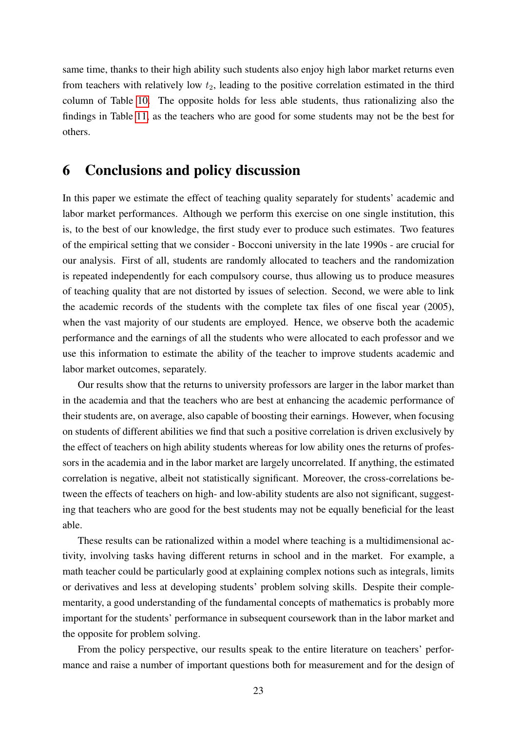same time, thanks to their high ability such students also enjoy high labor market returns even from teachers with relatively low  $t_2$ , leading to the positive correlation estimated in the third column of Table [10.](#page-38-0) The opposite holds for less able students, thus rationalizing also the findings in Table [11,](#page-38-1) as the teachers who are good for some students may not be the best for others.

## <span id="page-24-0"></span>6 Conclusions and policy discussion

In this paper we estimate the effect of teaching quality separately for students' academic and labor market performances. Although we perform this exercise on one single institution, this is, to the best of our knowledge, the first study ever to produce such estimates. Two features of the empirical setting that we consider - Bocconi university in the late 1990s - are crucial for our analysis. First of all, students are randomly allocated to teachers and the randomization is repeated independently for each compulsory course, thus allowing us to produce measures of teaching quality that are not distorted by issues of selection. Second, we were able to link the academic records of the students with the complete tax files of one fiscal year (2005), when the vast majority of our students are employed. Hence, we observe both the academic performance and the earnings of all the students who were allocated to each professor and we use this information to estimate the ability of the teacher to improve students academic and labor market outcomes, separately.

Our results show that the returns to university professors are larger in the labor market than in the academia and that the teachers who are best at enhancing the academic performance of their students are, on average, also capable of boosting their earnings. However, when focusing on students of different abilities we find that such a positive correlation is driven exclusively by the effect of teachers on high ability students whereas for low ability ones the returns of professors in the academia and in the labor market are largely uncorrelated. If anything, the estimated correlation is negative, albeit not statistically significant. Moreover, the cross-correlations between the effects of teachers on high- and low-ability students are also not significant, suggesting that teachers who are good for the best students may not be equally beneficial for the least able.

These results can be rationalized within a model where teaching is a multidimensional activity, involving tasks having different returns in school and in the market. For example, a math teacher could be particularly good at explaining complex notions such as integrals, limits or derivatives and less at developing students' problem solving skills. Despite their complementarity, a good understanding of the fundamental concepts of mathematics is probably more important for the students' performance in subsequent coursework than in the labor market and the opposite for problem solving.

From the policy perspective, our results speak to the entire literature on teachers' performance and raise a number of important questions both for measurement and for the design of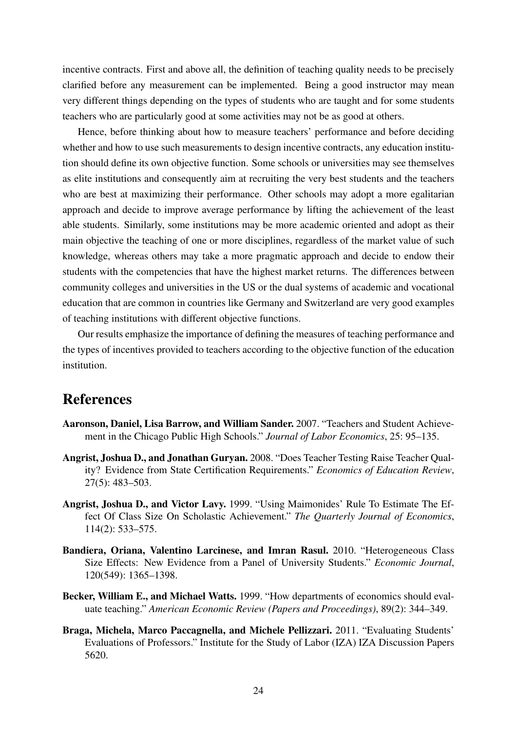incentive contracts. First and above all, the definition of teaching quality needs to be precisely clarified before any measurement can be implemented. Being a good instructor may mean very different things depending on the types of students who are taught and for some students teachers who are particularly good at some activities may not be as good at others.

Hence, before thinking about how to measure teachers' performance and before deciding whether and how to use such measurements to design incentive contracts, any education institution should define its own objective function. Some schools or universities may see themselves as elite institutions and consequently aim at recruiting the very best students and the teachers who are best at maximizing their performance. Other schools may adopt a more egalitarian approach and decide to improve average performance by lifting the achievement of the least able students. Similarly, some institutions may be more academic oriented and adopt as their main objective the teaching of one or more disciplines, regardless of the market value of such knowledge, whereas others may take a more pragmatic approach and decide to endow their students with the competencies that have the highest market returns. The differences between community colleges and universities in the US or the dual systems of academic and vocational education that are common in countries like Germany and Switzerland are very good examples of teaching institutions with different objective functions.

Our results emphasize the importance of defining the measures of teaching performance and the types of incentives provided to teachers according to the objective function of the education institution.

### References

- Aaronson, Daniel, Lisa Barrow, and William Sander. 2007. "Teachers and Student Achievement in the Chicago Public High Schools." *Journal of Labor Economics*, 25: 95–135.
- Angrist, Joshua D., and Jonathan Guryan. 2008. "Does Teacher Testing Raise Teacher Quality? Evidence from State Certification Requirements." *Economics of Education Review*, 27(5): 483–503.
- Angrist, Joshua D., and Victor Lavy. 1999. "Using Maimonides' Rule To Estimate The Effect Of Class Size On Scholastic Achievement." *The Quarterly Journal of Economics*, 114(2): 533–575.
- Bandiera, Oriana, Valentino Larcinese, and Imran Rasul. 2010. "Heterogeneous Class Size Effects: New Evidence from a Panel of University Students." *Economic Journal*, 120(549): 1365–1398.
- Becker, William E., and Michael Watts. 1999. "How departments of economics should evaluate teaching." *American Economic Review (Papers and Proceedings)*, 89(2): 344–349.
- Braga, Michela, Marco Paccagnella, and Michele Pellizzari. 2011. "Evaluating Students' Evaluations of Professors." Institute for the Study of Labor (IZA) IZA Discussion Papers 5620.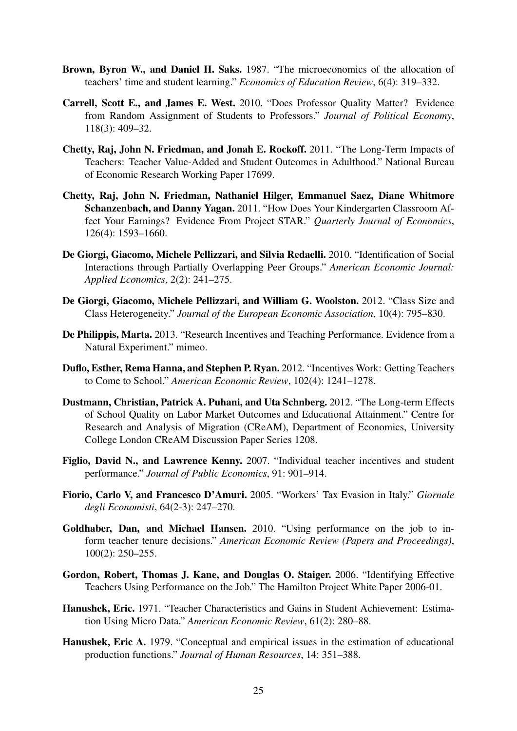- Brown, Byron W., and Daniel H. Saks. 1987. "The microeconomics of the allocation of teachers' time and student learning." *Economics of Education Review*, 6(4): 319–332.
- Carrell, Scott E., and James E. West. 2010. "Does Professor Quality Matter? Evidence from Random Assignment of Students to Professors." *Journal of Political Economy*, 118(3): 409–32.
- Chetty, Raj, John N. Friedman, and Jonah E. Rockoff. 2011. "The Long-Term Impacts of Teachers: Teacher Value-Added and Student Outcomes in Adulthood." National Bureau of Economic Research Working Paper 17699.
- Chetty, Raj, John N. Friedman, Nathaniel Hilger, Emmanuel Saez, Diane Whitmore Schanzenbach, and Danny Yagan. 2011. "How Does Your Kindergarten Classroom Affect Your Earnings? Evidence From Project STAR." *Quarterly Journal of Economics*, 126(4): 1593–1660.
- De Giorgi, Giacomo, Michele Pellizzari, and Silvia Redaelli. 2010. "Identification of Social Interactions through Partially Overlapping Peer Groups." *American Economic Journal: Applied Economics*, 2(2): 241–275.
- De Giorgi, Giacomo, Michele Pellizzari, and William G. Woolston. 2012. "Class Size and Class Heterogeneity." *Journal of the European Economic Association*, 10(4): 795–830.
- De Philippis, Marta. 2013. "Research Incentives and Teaching Performance. Evidence from a Natural Experiment." mimeo.
- Duflo, Esther, Rema Hanna, and Stephen P. Ryan. 2012. "Incentives Work: Getting Teachers to Come to School." *American Economic Review*, 102(4): 1241–1278.
- Dustmann, Christian, Patrick A. Puhani, and Uta Schnberg. 2012. "The Long-term Effects of School Quality on Labor Market Outcomes and Educational Attainment." Centre for Research and Analysis of Migration (CReAM), Department of Economics, University College London CReAM Discussion Paper Series 1208.
- Figlio, David N., and Lawrence Kenny. 2007. "Individual teacher incentives and student performance." *Journal of Public Economics*, 91: 901–914.
- Fiorio, Carlo V, and Francesco D'Amuri. 2005. "Workers' Tax Evasion in Italy." *Giornale degli Economisti*, 64(2-3): 247–270.
- Goldhaber, Dan, and Michael Hansen. 2010. "Using performance on the job to inform teacher tenure decisions." *American Economic Review (Papers and Proceedings)*, 100(2): 250–255.
- Gordon, Robert, Thomas J. Kane, and Douglas O. Staiger. 2006. "Identifying Effective Teachers Using Performance on the Job." The Hamilton Project White Paper 2006-01.
- Hanushek, Eric. 1971. "Teacher Characteristics and Gains in Student Achievement: Estimation Using Micro Data." *American Economic Review*, 61(2): 280–88.
- Hanushek, Eric A. 1979. "Conceptual and empirical issues in the estimation of educational production functions." *Journal of Human Resources*, 14: 351–388.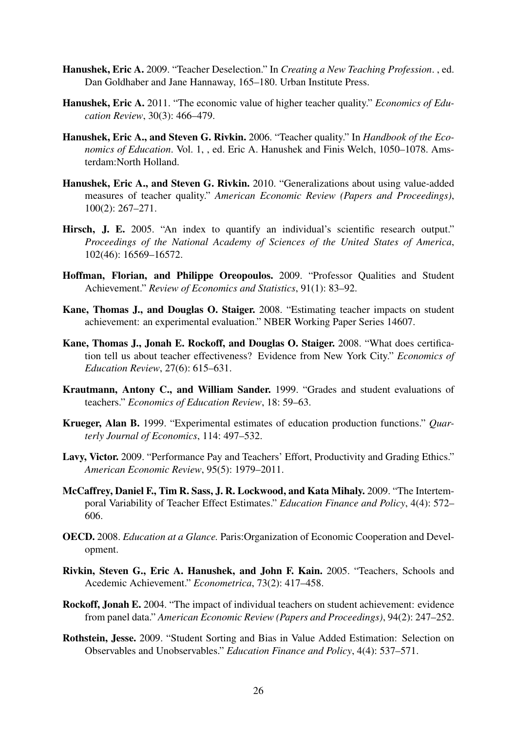- Hanushek, Eric A. 2009. "Teacher Deselection." In *Creating a New Teaching Profession*. , ed. Dan Goldhaber and Jane Hannaway, 165–180. Urban Institute Press.
- Hanushek, Eric A. 2011. "The economic value of higher teacher quality." *Economics of Education Review*, 30(3): 466–479.
- Hanushek, Eric A., and Steven G. Rivkin. 2006. "Teacher quality." In *Handbook of the Economics of Education*. Vol. 1, , ed. Eric A. Hanushek and Finis Welch, 1050–1078. Amsterdam:North Holland.
- Hanushek, Eric A., and Steven G. Rivkin. 2010. "Generalizations about using value-added measures of teacher quality." *American Economic Review (Papers and Proceedings)*, 100(2): 267–271.
- Hirsch, J. E. 2005. "An index to quantify an individual's scientific research output." *Proceedings of the National Academy of Sciences of the United States of America*, 102(46): 16569–16572.
- Hoffman, Florian, and Philippe Oreopoulos. 2009. "Professor Qualities and Student Achievement." *Review of Economics and Statistics*, 91(1): 83–92.
- Kane, Thomas J., and Douglas O. Staiger. 2008. "Estimating teacher impacts on student achievement: an experimental evaluation." NBER Working Paper Series 14607.
- Kane, Thomas J., Jonah E. Rockoff, and Douglas O. Staiger. 2008. "What does certification tell us about teacher effectiveness? Evidence from New York City." *Economics of Education Review*, 27(6): 615–631.
- Krautmann, Antony C., and William Sander. 1999. "Grades and student evaluations of teachers." *Economics of Education Review*, 18: 59–63.
- Krueger, Alan B. 1999. "Experimental estimates of education production functions." *Quarterly Journal of Economics*, 114: 497–532.
- Lavy, Victor. 2009. "Performance Pay and Teachers' Effort, Productivity and Grading Ethics." *American Economic Review*, 95(5): 1979–2011.
- McCaffrey, Daniel F., Tim R. Sass, J. R. Lockwood, and Kata Mihaly. 2009. "The Intertemporal Variability of Teacher Effect Estimates." *Education Finance and Policy*, 4(4): 572– 606.
- OECD. 2008. *Education at a Glance.* Paris:Organization of Economic Cooperation and Development.
- Rivkin, Steven G., Eric A. Hanushek, and John F. Kain. 2005. "Teachers, Schools and Acedemic Achievement." *Econometrica*, 73(2): 417–458.
- Rockoff, Jonah E. 2004. "The impact of individual teachers on student achievement: evidence from panel data." *American Economic Review (Papers and Proceedings)*, 94(2): 247–252.
- Rothstein, Jesse. 2009. "Student Sorting and Bias in Value Added Estimation: Selection on Observables and Unobservables." *Education Finance and Policy*, 4(4): 537–571.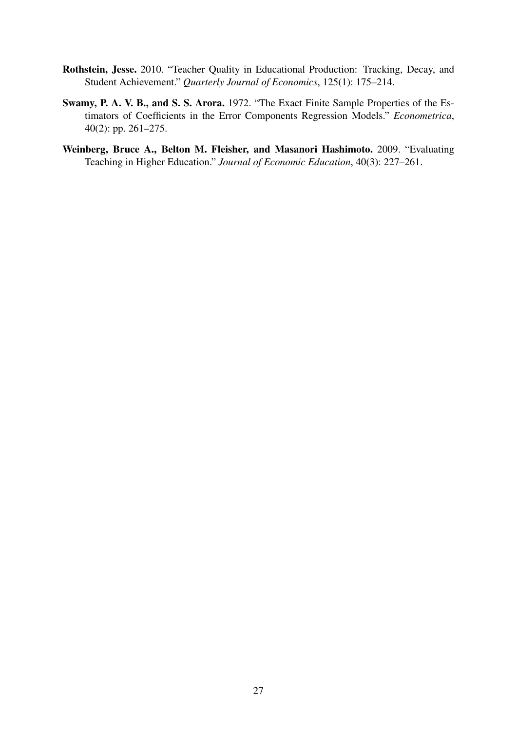- Rothstein, Jesse. 2010. "Teacher Quality in Educational Production: Tracking, Decay, and Student Achievement." *Quarterly Journal of Economics*, 125(1): 175–214.
- Swamy, P. A. V. B., and S. S. Arora. 1972. "The Exact Finite Sample Properties of the Estimators of Coefficients in the Error Components Regression Models." *Econometrica*, 40(2): pp. 261–275.
- Weinberg, Bruce A., Belton M. Fleisher, and Masanori Hashimoto. 2009. "Evaluating Teaching in Higher Education." *Journal of Economic Education*, 40(3): 227–261.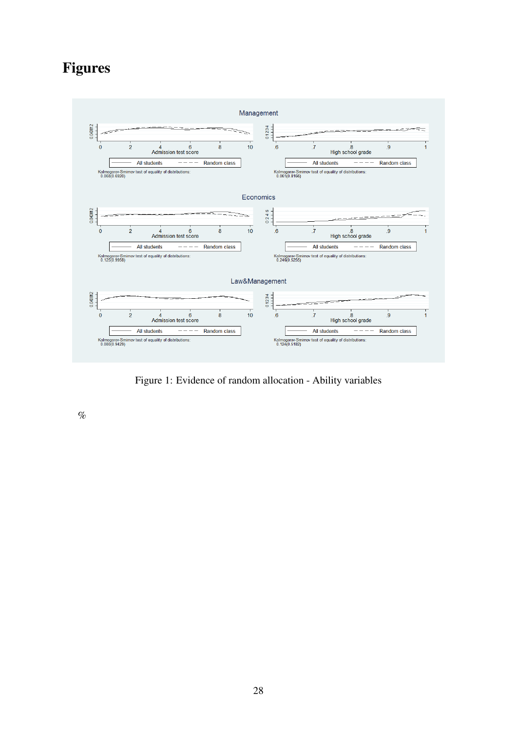# Figures



<span id="page-29-0"></span>Figure 1: Evidence of random allocation - Ability variables

 $\%$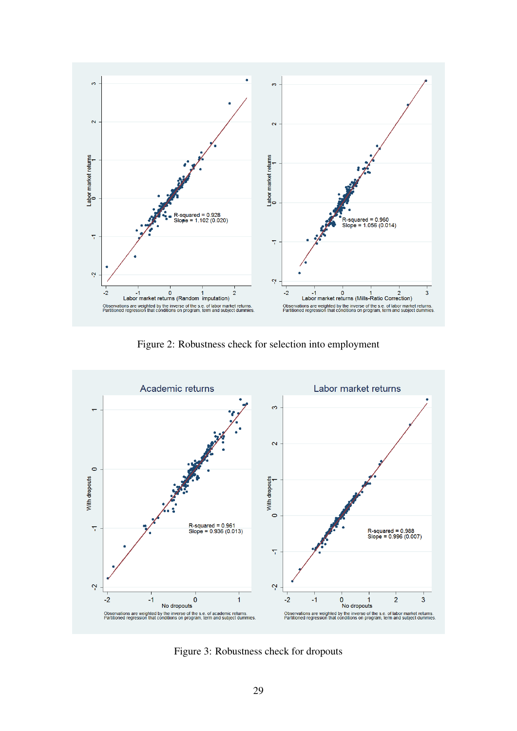

<span id="page-30-0"></span>Figure 2: Robustness check for selection into employment



<span id="page-30-1"></span>Figure 3: Robustness check for dropouts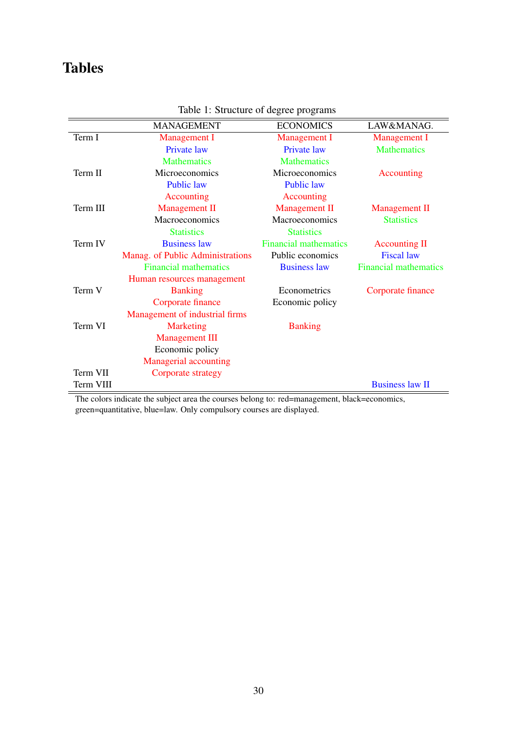# Tables

|           | <b>MANAGEMENT</b>                | <b>ECONOMICS</b>             | LAW&MANAG.                   |
|-----------|----------------------------------|------------------------------|------------------------------|
| Term I    | <b>Management I</b>              | Management I                 | <b>Management I</b>          |
|           | Private law                      | Private law                  | <b>Mathematics</b>           |
|           | <b>Mathematics</b>               | <b>Mathematics</b>           |                              |
| Term II   | <b>Microeconomics</b>            | <b>Microeconomics</b>        | Accounting                   |
|           | <b>Public law</b>                | <b>Public law</b>            |                              |
|           | Accounting                       | Accounting                   |                              |
| Term III  | Management II                    | Management II                | <b>Management II</b>         |
|           | Macroeconomics                   | Macroeconomics               | <b>Statistics</b>            |
|           | <b>Statistics</b>                | <b>Statistics</b>            |                              |
| Term IV   | <b>Business law</b>              | <b>Financial mathematics</b> | <b>Accounting II</b>         |
|           | Manag. of Public Administrations | Public economics             | <b>Fiscal law</b>            |
|           | <b>Financial mathematics</b>     | <b>Business law</b>          | <b>Financial mathematics</b> |
|           | Human resources management       |                              |                              |
| Term V    | <b>Banking</b>                   | Econometrics                 | Corporate finance            |
|           | Corporate finance                | Economic policy              |                              |
|           | Management of industrial firms   |                              |                              |
| Term VI   | <b>Marketing</b>                 | <b>Banking</b>               |                              |
|           | <b>Management III</b>            |                              |                              |
|           | Economic policy                  |                              |                              |
|           | Managerial accounting            |                              |                              |
| Term VII  | Corporate strategy               |                              |                              |
| Term VIII |                                  |                              | <b>Business law II</b>       |

<span id="page-31-0"></span>Table 1: Structure of degree programs

The colors indicate the subject area the courses belong to: red=management, black=economics, green=quantitative, blue=law. Only compulsory courses are displayed.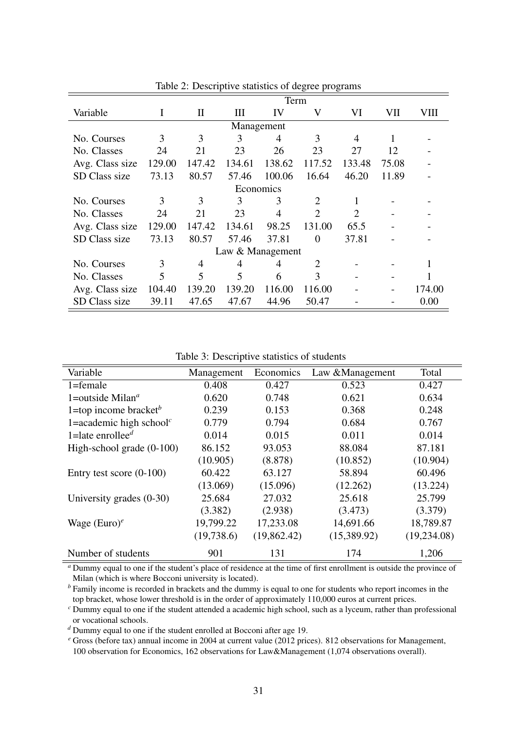|                 |        |             |            | Term             |                |                |       |        |
|-----------------|--------|-------------|------------|------------------|----------------|----------------|-------|--------|
| Variable        |        | $\rm _{II}$ | Ш          | IV               | V              | VI             | VП    | VШ     |
|                 |        |             | Management |                  |                |                |       |        |
| No. Courses     | 3      | 3           | 3          | 4                | 3              | 4              |       |        |
| No. Classes     | 24     | 21          | 23         | 26               | 23             | 27             | 12    |        |
| Avg. Class size | 129.00 | 147.42      | 134.61     | 138.62           | 117.52         | 133.48         | 75.08 |        |
| SD Class size   | 73.13  | 80.57       | 57.46      | 100.06           | 16.64          | 46.20          | 11.89 |        |
|                 |        |             | Economics  |                  |                |                |       |        |
| No. Courses     | 3      | 3           | 3          | 3                | 2              |                |       |        |
| No. Classes     | 24     | 21          | 23         | 4                | $\overline{2}$ | $\overline{2}$ |       |        |
| Avg. Class size | 129.00 | 147.42      | 134.61     | 98.25            | 131.00         | 65.5           |       |        |
| SD Class size   | 73.13  | 80.57       | 57.46      | 37.81            | $\Omega$       | 37.81          |       |        |
|                 |        |             |            | Law & Management |                |                |       |        |
| No. Courses     | 3      | 4           | 4          | 4                | 2              |                |       |        |
| No. Classes     | 5      | 5           | 5          | 6                | 3              |                |       |        |
| Avg. Class size | 104.40 | 139.20      | 139.20     | 116.00           | 116.00         |                |       | 174.00 |
| SD Class size   | 39.11  | 47.65       | 47.67      | 44.96            | 50.47          |                |       | 0.00   |

<span id="page-32-0"></span>Table 2: Descriptive statistics of degree programs

<span id="page-32-1"></span>Table 3: Descriptive statistics of students

| Variable                                         | Management | Economics   | Law & Management | Total        |
|--------------------------------------------------|------------|-------------|------------------|--------------|
| $1 =$ female                                     | 0.408      | 0.427       | 0.523            | 0.427        |
| 1=outside Milan <sup><math>a</math></sup>        | 0.620      | 0.748       | 0.621            | 0.634        |
| 1=top income bracket <sup>b</sup>                | 0.239      | 0.153       | 0.368            | 0.248        |
| 1=academic high school <sup><math>c</math></sup> | 0.779      | 0.794       | 0.684            | 0.767        |
| 1=late enrollee <sup>d</sup>                     | 0.014      | 0.015       | 0.011            | 0.014        |
| High-school grade $(0-100)$                      | 86.152     | 93.053      | 88.084           | 87.181       |
|                                                  | (10.905)   | (8.878)     | (10.852)         | (10.904)     |
| Entry test score $(0-100)$                       | 60.422     | 63.127      | 58.894           | 60.496       |
|                                                  | (13.069)   | (15.096)    | (12.262)         | (13.224)     |
| University grades (0-30)                         | 25.684     | 27.032      | 25.618           | 25.799       |
|                                                  | (3.382)    | (2.938)     | (3.473)          | (3.379)      |
| Wage $(Euro)^e$                                  | 19,799.22  | 17,233.08   | 14,691.66        | 18,789.87    |
|                                                  | (19,738.6) | (19,862.42) | (15,389.92)      | (19, 234.08) |
| Number of students                               | 901        | 131         | 174              | 1,206        |

*<sup>a</sup>* Dummy equal to one if the student's place of residence at the time of first enrollment is outside the province of Milan (which is where Bocconi university is located).

*b* Family income is recorded in brackets and the dummy is equal to one for students who report incomes in the top bracket, whose lower threshold is in the order of approximately 110,000 euros at current prices.

*<sup>c</sup>* Dummy equal to one if the student attended a academic high school, such as a lyceum, rather than professional or vocational schools.

*<sup>d</sup>* Dummy equal to one if the student enrolled at Bocconi after age 19.

*<sup>e</sup>* Gross (before tax) annual income in 2004 at current value (2012 prices). 812 observations for Management, 100 observation for Economics, 162 observations for Law&Management (1,074 observations overall).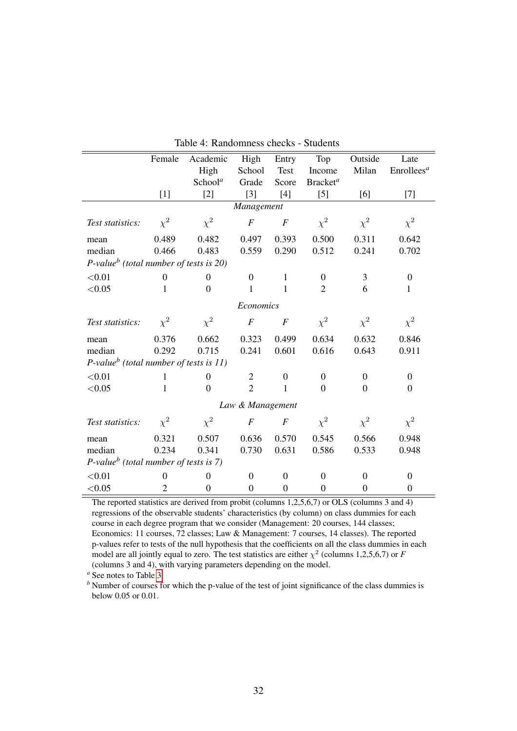|                                                    | Female         | Academic            | High             | Entry            | Top                  | Outside          | Late                                |
|----------------------------------------------------|----------------|---------------------|------------------|------------------|----------------------|------------------|-------------------------------------|
|                                                    |                | High                | School           | Test             | Income               | Milan            | Enrollees <sup><math>a</math></sup> |
|                                                    |                | School <sup>a</sup> | Grade            | Score            | Bracket <sup>a</sup> |                  |                                     |
|                                                    | $[1]$          | $[2]$               | $[3]$            | $[4]$            | $[5]$                | [6]              | $[7]$                               |
|                                                    |                |                     | Management       |                  |                      |                  |                                     |
| Test statistics:                                   | $\chi^2$       | $\chi^2$            | $\cal F$         | $\boldsymbol{F}$ | $\chi^2$             | $\chi^2$         | $\chi^2$                            |
| mean                                               | 0.489          | 0.482               | 0.497            | 0.393            | 0.500                | 0.311            | 0.642                               |
| median                                             | 0.466          | 0.483               | 0.559            | 0.290            | 0.512                | 0.241            | 0.702                               |
| P-value <sup>b</sup> (total number of tests is 20) |                |                     |                  |                  |                      |                  |                                     |
| $<\!\!0.01$                                        | $\Omega$       | $\overline{0}$      | $\boldsymbol{0}$ | $\mathbf{1}$     | $\overline{0}$       | 3                | $\overline{0}$                      |
| < 0.05                                             | 1              | $\overline{0}$      | 1                | $\mathbf{1}$     | $\overline{2}$       | 6                | $\mathbf{1}$                        |
|                                                    |                |                     | Economics        |                  |                      |                  |                                     |
| Test statistics:                                   | $\chi^2$       | $\chi^2$            | $\cal F$         | $\boldsymbol{F}$ | $\chi^2$             | $\chi^2$         | $\chi^2$                            |
| mean                                               | 0.376          | 0.662               | 0.323            | 0.499            | 0.634                | 0.632            | 0.846                               |
| median                                             | 0.292          | 0.715               | 0.241            | 0.601            | 0.616                | 0.643            | 0.911                               |
| P-value <sup>b</sup> (total number of tests is 11) |                |                     |                  |                  |                      |                  |                                     |
| < 0.01                                             | 1              | $\boldsymbol{0}$    | $\overline{2}$   | $\boldsymbol{0}$ | $\overline{0}$       | $\boldsymbol{0}$ | $\boldsymbol{0}$                    |
| < 0.05                                             | 1              | $\overline{0}$      | $\overline{2}$   | $\mathbf{1}$     | $\Omega$             | $\Omega$         | $\overline{0}$                      |
|                                                    |                |                     | Law & Management |                  |                      |                  |                                     |
| Test statistics:                                   | $\chi^2$       | $\chi^2$            | $\cal F$         | $\boldsymbol{F}$ | $\chi^2$             | $\chi^2$         | $\chi^2$                            |
| mean                                               | 0.321          | 0.507               | 0.636            | 0.570            | 0.545                | 0.566            | 0.948                               |
| median                                             | 0.234          | 0.341               | 0.730            | 0.631            | 0.586                | 0.533            | 0.948                               |
| P-value <sup>b</sup> (total number of tests is 7)  |                |                     |                  |                  |                      |                  |                                     |
| < 0.01                                             | $\Omega$       | 0                   | $\Omega$         | $\theta$         | $\Omega$             | $\Omega$         | $\Omega$                            |
| < 0.05                                             | $\overline{c}$ | $\boldsymbol{0}$    | $\boldsymbol{0}$ | $\boldsymbol{0}$ | $\boldsymbol{0}$     | $\overline{0}$   | $\boldsymbol{0}$                    |

<span id="page-33-0"></span>

| Table 4: Randomness checks - Students |  |  |
|---------------------------------------|--|--|
|---------------------------------------|--|--|

The reported statistics are derived from probit (columns 1,2,5,6,7) or OLS (columns 3 and 4) regressions of the observable students' characteristics (by column) on class dummies for each course in each degree program that we consider (Management: 20 courses, 144 classes; Economics: 11 courses, 72 classes; Law & Management: 7 courses, 14 classes). The reported p-values refer to tests of the null hypothesis that the coefficients on all the class dummies in each model are all jointly equal to zero. The test statistics are either  $\chi^2$  (columns 1,2,5,6,7) or *F* (columns 3 and 4), with varying parameters depending on the model.

*<sup>a</sup>* See notes to Table [3.](#page-32-1)

*b* Number of courses for which the p-value of the test of joint significance of the class dummies is below 0.05 or 0.01.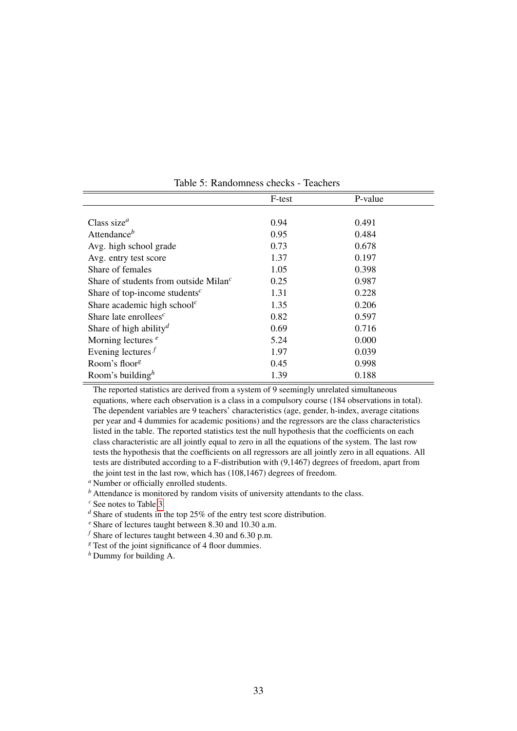|                                                                | F-test | P-value |  |
|----------------------------------------------------------------|--------|---------|--|
|                                                                |        |         |  |
| Class size <sup><math>a</math></sup>                           | 0.94   | 0.491   |  |
| Attendance $^b$                                                | 0.95   | 0.484   |  |
| Avg. high school grade                                         | 0.73   | 0.678   |  |
| Avg. entry test score                                          | 1.37   | 0.197   |  |
| Share of females                                               | 1.05   | 0.398   |  |
| Share of students from outside Milan <sup><math>c</math></sup> | 0.25   | 0.987   |  |
| Share of top-income students <sup><math>c</math></sup>         | 1.31   | 0.228   |  |
| Share academic high school <sup><math>c</math></sup>           | 1.35   | 0.206   |  |
| Share late enrollees <sup><math>c</math></sup>                 | 0.82   | 0.597   |  |
| Share of high ability <sup>d</sup>                             | 0.69   | 0.716   |  |
| Morning lectures $e$                                           | 5.24   | 0.000   |  |
| Evening lectures $f$                                           | 1.97   | 0.039   |  |
| Room's floor <sup><math>g</math></sup>                         | 0.45   | 0.998   |  |
| Room's building <sup>h</sup>                                   | 1.39   | 0.188   |  |

<span id="page-34-0"></span>Table 5: Randomness checks - Teachers

The reported statistics are derived from a system of 9 seemingly unrelated simultaneous equations, where each observation is a class in a compulsory course (184 observations in total). The dependent variables are 9 teachers' characteristics (age, gender, h-index, average citations per year and 4 dummies for academic positions) and the regressors are the class characteristics listed in the table. The reported statistics test the null hypothesis that the coefficients on each class characteristic are all jointly equal to zero in all the equations of the system. The last row tests the hypothesis that the coefficients on all regressors are all jointly zero in all equations. All tests are distributed according to a F-distribution with (9,1467) degrees of freedom, apart from the joint test in the last row, which has (108,1467) degrees of freedom.

*<sup>a</sup>* Number or officially enrolled students.

*b* Attendance is monitored by random visits of university attendants to the class.

*<sup>c</sup>* See notes to Table [3.](#page-32-1)

*<sup>d</sup>* Share of students in the top 25% of the entry test score distribution.

*<sup>e</sup>* Share of lectures taught between 8.30 and 10.30 a.m.

*<sup>f</sup>* Share of lectures taught between 4.30 and 6.30 p.m.

<sup>g</sup> Test of the joint significance of 4 floor dummies.

*<sup>h</sup>* Dummy for building A.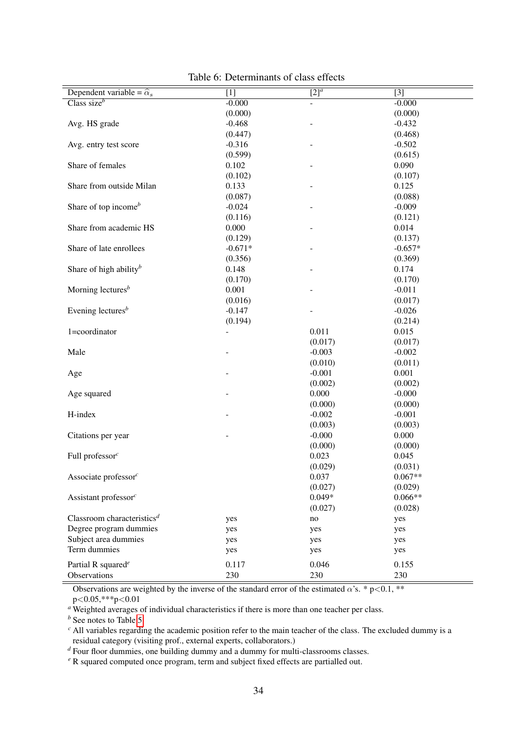| Dependent variable = $\hat{\alpha}_s$      | $[1]$     | $[2]^{a}$ | $\overline{[3]}$ |
|--------------------------------------------|-----------|-----------|------------------|
| Class size $^b$                            | $-0.000$  |           | $-0.000$         |
|                                            | (0.000)   |           | (0.000)          |
| Avg. HS grade                              | $-0.468$  |           | $-0.432$         |
|                                            | (0.447)   |           | (0.468)          |
| Avg. entry test score                      | $-0.316$  |           | $-0.502$         |
|                                            | (0.599)   |           | (0.615)          |
| Share of females                           | 0.102     |           | 0.090            |
|                                            | (0.102)   |           | (0.107)          |
| Share from outside Milan                   | 0.133     |           | 0.125            |
|                                            | (0.087)   |           | (0.088)          |
| Share of top income <sup>b</sup>           | $-0.024$  |           | $-0.009$         |
|                                            | (0.116)   |           | (0.121)          |
| Share from academic HS                     | 0.000     |           | 0.014            |
|                                            | (0.129)   |           | (0.137)          |
| Share of late enrollees                    | $-0.671*$ |           | $-0.657*$        |
|                                            | (0.356)   |           | (0.369)          |
| Share of high ability $\mathbf{b}$         | 0.148     |           | 0.174            |
|                                            | (0.170)   |           | (0.170)          |
| Morning lectures <sup>b</sup>              | 0.001     |           | $-0.011$         |
|                                            | (0.016)   |           | (0.017)          |
| Evening lectures <sup><math>b</math></sup> | $-0.147$  |           | $-0.026$         |
|                                            | (0.194)   |           | (0.214)          |
| 1=coordinator                              |           | 0.011     | 0.015            |
|                                            |           | (0.017)   | (0.017)          |
| Male                                       |           | $-0.003$  | $-0.002$         |
|                                            |           | (0.010)   | (0.011)          |
| Age                                        |           | $-0.001$  | 0.001            |
|                                            |           | (0.002)   | (0.002)          |
| Age squared                                |           | 0.000     | $-0.000$         |
|                                            |           | (0.000)   | (0.000)          |
| H-index                                    |           | $-0.002$  | $-0.001$         |
|                                            |           | (0.003)   | (0.003)          |
| Citations per year                         |           | $-0.000$  | 0.000            |
|                                            |           | (0.000)   | (0.000)          |
| Full professor $c$                         |           | 0.023     | 0.045            |
|                                            |           | (0.029)   | (0.031)          |
| Associate professor $c$                    |           | 0.037     | $0.067**$        |
|                                            |           | (0.027)   | (0.029)          |
| Assistant professor $c$                    |           | $0.049*$  | $0.066**$        |
|                                            |           | (0.027)   | (0.028)          |
| Classroom characteristics <sup>d</sup>     | yes       | no        | yes              |
| Degree program dummies                     | yes       | yes       | yes              |
| Subject area dummies                       | yes       | yes       | yes              |
| Term dummies                               | yes       | yes       | yes              |
| Partial R squared <sup>e</sup>             | 0.117     | 0.046     | 0.155            |
| Observations                               | 230       | 230       | 230              |

<span id="page-35-0"></span>Table 6: Determinants of class effects

Observations are weighted by the inverse of the standard error of the estimated  $\alpha$ 's. \* p<0.1, \*\* p<0.05,\*\*\*p<0.01

*<sup>a</sup>* Weighted averages of individual characteristics if there is more than one teacher per class.

*b* See notes to Table [5.](#page-34-0)

*<sup>c</sup>* All variables regarding the academic position refer to the main teacher of the class. The excluded dummy is a residual category (visiting prof., external experts, collaborators.)

*<sup>d</sup>* Four floor dummies, one building dummy and a dummy for multi-classrooms classes.

<sup>*e*</sup> R squared computed once program, term and subject fixed effects are partialled out.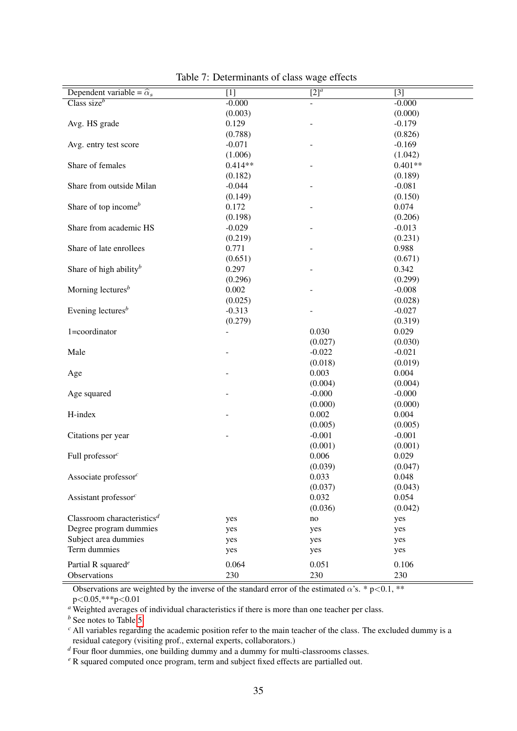| Dependent variable = $\hat{\alpha}_s$      | $[1]$     | $[2]^{a}$ | $\overline{[3]}$ |
|--------------------------------------------|-----------|-----------|------------------|
| Class size $^b$                            | $-0.000$  |           | $-0.000$         |
|                                            | (0.003)   |           | (0.000)          |
| Avg. HS grade                              | 0.129     |           | $-0.179$         |
|                                            | (0.788)   |           | (0.826)          |
| Avg. entry test score                      | $-0.071$  |           | $-0.169$         |
|                                            | (1.006)   |           | (1.042)          |
| Share of females                           | $0.414**$ |           | $0.401**$        |
|                                            | (0.182)   |           | (0.189)          |
| Share from outside Milan                   | $-0.044$  |           | $-0.081$         |
|                                            | (0.149)   |           | (0.150)          |
| Share of top income <sup>b</sup>           | 0.172     |           | 0.074            |
|                                            | (0.198)   |           | (0.206)          |
| Share from academic HS                     | $-0.029$  |           | $-0.013$         |
|                                            | (0.219)   |           | (0.231)          |
| Share of late enrollees                    | 0.771     |           | 0.988            |
|                                            | (0.651)   |           | (0.671)          |
| Share of high ability $\bar{b}$            | 0.297     |           | 0.342            |
|                                            | (0.296)   |           | (0.299)          |
| Morning lectures <sup>b</sup>              | 0.002     |           | $-0.008$         |
|                                            | (0.025)   |           | (0.028)          |
| Evening lectures <sup><math>b</math></sup> | $-0.313$  |           | $-0.027$         |
|                                            | (0.279)   |           | (0.319)          |
| 1=coordinator                              |           | 0.030     | 0.029            |
|                                            |           | (0.027)   | (0.030)          |
| Male                                       |           | $-0.022$  | $-0.021$         |
|                                            |           | (0.018)   | (0.019)          |
| Age                                        |           | 0.003     | 0.004            |
|                                            |           | (0.004)   | (0.004)          |
| Age squared                                |           | $-0.000$  | $-0.000$         |
|                                            |           | (0.000)   | (0.000)          |
| H-index                                    |           | 0.002     | 0.004            |
|                                            |           | (0.005)   | (0.005)          |
| Citations per year                         |           | $-0.001$  | $-0.001$         |
|                                            |           | (0.001)   | (0.001)          |
| Full professor $c$                         |           | 0.006     | 0.029            |
|                                            |           | (0.039)   | (0.047)          |
| Associate professor <sup>c</sup>           |           | 0.033     | 0.048            |
|                                            |           | (0.037)   | (0.043)          |
| Assistant professor <sup>c</sup>           |           | 0.032     | 0.054            |
|                                            |           | (0.036)   | (0.042)          |
| Classroom characteristics <sup>d</sup>     | yes       | no        | yes              |
| Degree program dummies                     | yes       | yes       | yes              |
| Subject area dummies                       | yes       | yes       | yes              |
| Term dummies                               | yes       | yes       | yes              |
| Partial R squared <sup>e</sup>             | 0.064     | 0.051     | 0.106            |
| Observations                               | 230       | 230       | 230              |

<span id="page-36-0"></span>Table 7: Determinants of class wage effects

Observations are weighted by the inverse of the standard error of the estimated  $\alpha$ 's. \* p<0.1, \*\* p<0.05,\*\*\*p<0.01

*<sup>a</sup>* Weighted averages of individual characteristics if there is more than one teacher per class.

*b* See notes to Table [5.](#page-34-0)

*<sup>c</sup>* All variables regarding the academic position refer to the main teacher of the class. The excluded dummy is a residual category (visiting prof., external experts, collaborators.)

*<sup>d</sup>* Four floor dummies, one building dummy and a dummy for multi-classrooms classes.

<sup>*e*</sup> R squared computed once program, term and subject fixed effects are partialled out.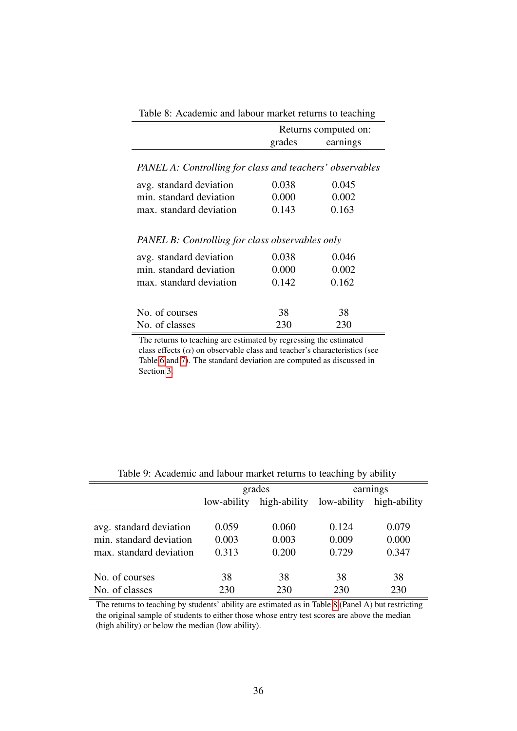|                                                          |        | Returns computed on: |
|----------------------------------------------------------|--------|----------------------|
|                                                          | grades | earnings             |
|                                                          |        |                      |
| PANEL A: Controlling for class and teachers' observables |        |                      |
| avg. standard deviation                                  | 0.038  | 0.045                |
| min. standard deviation                                  | 0.000  | 0.002                |
| max. standard deviation                                  | 0.143  | 0.163                |
|                                                          |        |                      |
| <b>PANEL B: Controlling for class observables only</b>   |        |                      |
|                                                          | 0.038  | 0.046                |
| avg. standard deviation                                  |        |                      |
| min. standard deviation                                  | 0.000  | 0.002                |
| max. standard deviation                                  | 0.142  | 0.162                |

<span id="page-37-0"></span>

| Table 8: Academic and labour market returns to teaching |  |  |
|---------------------------------------------------------|--|--|
|---------------------------------------------------------|--|--|

| No. of courses                                                                   | 38  | 38  |  |
|----------------------------------------------------------------------------------|-----|-----|--|
| No. of classes                                                                   | 230 | 230 |  |
| . The material to tradition and cottonated because the characteristic cottonated |     |     |  |

The returns to teaching are estimated by regressing the estimated class effects  $(\alpha)$  on observable class and teacher's characteristics (see Table [6](#page-35-0) and [7\)](#page-36-0). The standard deviation are computed as discussed in Section [3.](#page-11-0)

|                         | grades      |              |             | earnings     |
|-------------------------|-------------|--------------|-------------|--------------|
|                         | low-ability | high-ability | low-ability | high-ability |
|                         |             |              |             |              |
| avg. standard deviation | 0.059       | 0.060        | 0.124       | 0.079        |
| min. standard deviation | 0.003       | 0.003        | 0.009       | 0.000        |
| max. standard deviation | 0.313       | 0.200        | 0.729       | 0.347        |
|                         |             |              |             |              |
| No. of courses          | 38          | 38           | 38          | 38           |
| No. of classes          | 230         | 230          | 230         | 230          |

<span id="page-37-1"></span>Table 9: Academic and labour market returns to teaching by ability

The returns to teaching by students' ability are estimated as in Table [8](#page-37-0) (Panel A) but restricting the original sample of students to either those whose entry test scores are above the median (high ability) or below the median (low ability).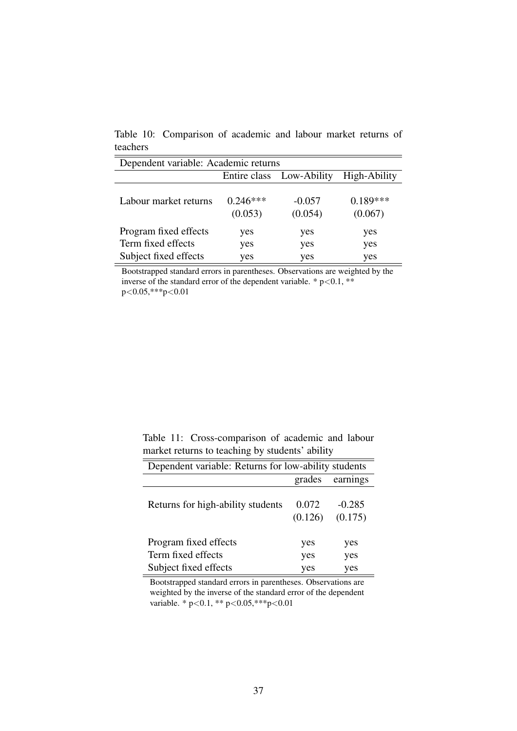<span id="page-38-0"></span>Table 10: Comparison of academic and labour market returns of teachers

| Dependent variable: Academic returns        |                       |                          |                       |  |  |
|---------------------------------------------|-----------------------|--------------------------|-----------------------|--|--|
|                                             |                       | Entire class Low-Ability | High-Ability          |  |  |
| Labour market returns                       | $0.246***$<br>(0.053) | $-0.057$<br>(0.054)      | $0.189***$<br>(0.067) |  |  |
| Program fixed effects<br>Term fixed effects | yes<br>yes            | yes<br>yes               | yes<br>yes            |  |  |
| Subject fixed effects                       | yes                   | yes                      | yes                   |  |  |

Bootstrapped standard errors in parentheses. Observations are weighted by the inverse of the standard error of the dependent variable. \*  $p<0.1$ , \*\* p<0.05,\*\*\*p<0.01

<span id="page-38-1"></span>

|  | Table 11: Cross-comparison of academic and labour |  |  |  |
|--|---------------------------------------------------|--|--|--|
|  | market returns to teaching by students' ability   |  |  |  |

| Dependent variable: Returns for low-ability students |                  |                     |  |  |
|------------------------------------------------------|------------------|---------------------|--|--|
|                                                      | grades           | earnings            |  |  |
| Returns for high-ability students                    | 0.072<br>(0.126) | $-0.285$<br>(0.175) |  |  |
| Program fixed effects                                | yes              | yes                 |  |  |
| Term fixed effects                                   | yes              | yes                 |  |  |
| Subject fixed effects                                | ves              | yes                 |  |  |

Bootstrapped standard errors in parentheses. Observations are weighted by the inverse of the standard error of the dependent variable. \* p<0.1, \*\* p<0.05, \*\*\* p<0.01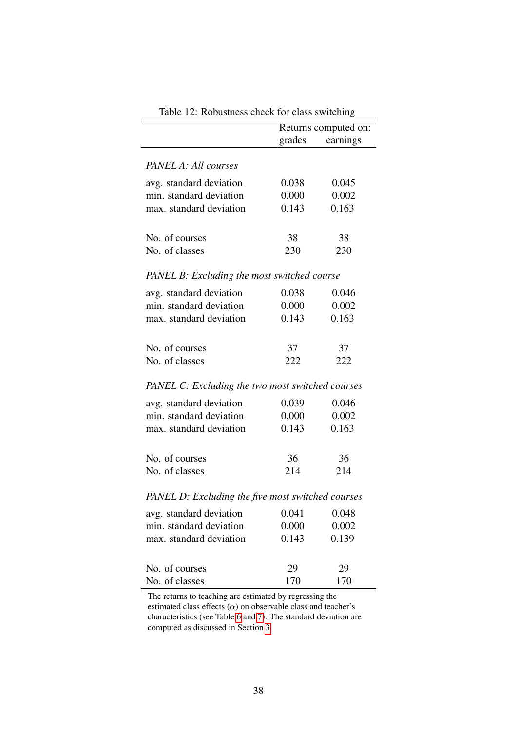|                         | Returns computed on: |          |  |
|-------------------------|----------------------|----------|--|
|                         | grades               | earnings |  |
|                         |                      |          |  |
| PANEL A: All courses    |                      |          |  |
| avg. standard deviation | 0.038                | 0.045    |  |
| min. standard deviation | 0.000                | 0.002    |  |
| max. standard deviation | 0.143                | 0.163    |  |
|                         |                      |          |  |
| No. of courses          | 38                   | 38       |  |
| No. of classes          | 230                  | 230      |  |
|                         |                      |          |  |

<span id="page-39-0"></span>Table 12: Robustness check for class switching

#### *PANEL B: Excluding the most switched course*

| avg. standard deviation | 0.038 | 0.046 |
|-------------------------|-------|-------|
| min. standard deviation | 0.000 | 0.002 |
| max. standard deviation | 0.143 | 0.163 |
| No. of courses          | 37    | 37    |
| No. of classes          | 222   | 222   |

#### *PANEL C: Excluding the two most switched courses*

| avg. standard deviation | 0.039 | 0.046 |
|-------------------------|-------|-------|
| min. standard deviation | 0.000 | 0.002 |
| max. standard deviation | 0.143 | 0.163 |
| No. of courses          | 36    | 36    |
| No. of classes          | 214   | 214   |

### *PANEL D: Excluding the five most switched courses*

| avg. standard deviation | 0.041 | 0.048 |
|-------------------------|-------|-------|
| min. standard deviation | 0.000 | 0.002 |
| max. standard deviation | 0.143 | 0.139 |
| No. of courses          | 29    | 29    |
| No. of classes          | 170   | 170   |

The returns to teaching are estimated by regressing the estimated class effects  $(\alpha)$  on observable class and teacher's characteristics (see Table [6](#page-35-0) and [7\)](#page-36-0). The standard deviation are computed as discussed in Section [3.](#page-11-0)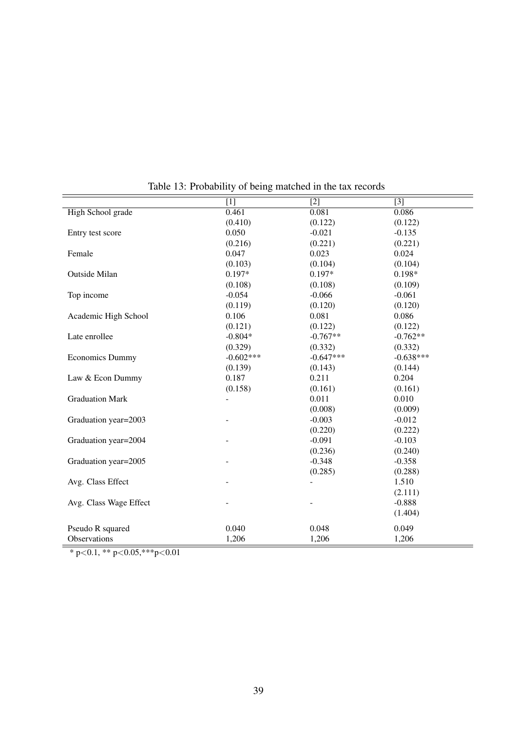|                        | $[1]$       | $[2]$       | $[3]$       |
|------------------------|-------------|-------------|-------------|
| High School grade      | 0.461       | 0.081       | 0.086       |
|                        | (0.410)     | (0.122)     | (0.122)     |
| Entry test score       | 0.050       | $-0.021$    | $-0.135$    |
|                        | (0.216)     | (0.221)     | (0.221)     |
| Female                 | 0.047       | 0.023       | 0.024       |
|                        | (0.103)     | (0.104)     | (0.104)     |
| Outside Milan          | $0.197*$    | $0.197*$    | 0.198*      |
|                        | (0.108)     | (0.108)     | (0.109)     |
| Top income             | $-0.054$    | $-0.066$    | $-0.061$    |
|                        | (0.119)     | (0.120)     | (0.120)     |
| Academic High School   | 0.106       | 0.081       | 0.086       |
|                        | (0.121)     | (0.122)     | (0.122)     |
| Late enrollee          | $-0.804*$   | $-0.767**$  | $-0.762**$  |
|                        | (0.329)     | (0.332)     | (0.332)     |
| <b>Economics Dummy</b> | $-0.602***$ | $-0.647***$ | $-0.638***$ |
|                        | (0.139)     | (0.143)     | (0.144)     |
| Law & Econ Dummy       | 0.187       | 0.211       | 0.204       |
|                        | (0.158)     | (0.161)     | (0.161)     |
| <b>Graduation Mark</b> |             | 0.011       | 0.010       |
|                        |             | (0.008)     | (0.009)     |
| Graduation year=2003   |             | $-0.003$    | $-0.012$    |
|                        |             | (0.220)     | (0.222)     |
| Graduation year=2004   |             | $-0.091$    | $-0.103$    |
|                        |             | (0.236)     | (0.240)     |
| Graduation year=2005   |             | $-0.348$    | $-0.358$    |
|                        |             | (0.285)     | (0.288)     |
| Avg. Class Effect      |             |             | 1.510       |
|                        |             |             | (2.111)     |
| Avg. Class Wage Effect |             |             | $-0.888$    |
|                        |             |             | (1.404)     |
| Pseudo R squared       | 0.040       | 0.048       | 0.049       |
| Observations           | 1,206       | 1,206       | 1,206       |

Table 13: Probability of being matched in the tax records

 $\frac{1}{\sqrt{\pi p} < 0.1, \sqrt[4]{p} < 0.05, \sqrt[4]{\pi p} < 0.01}$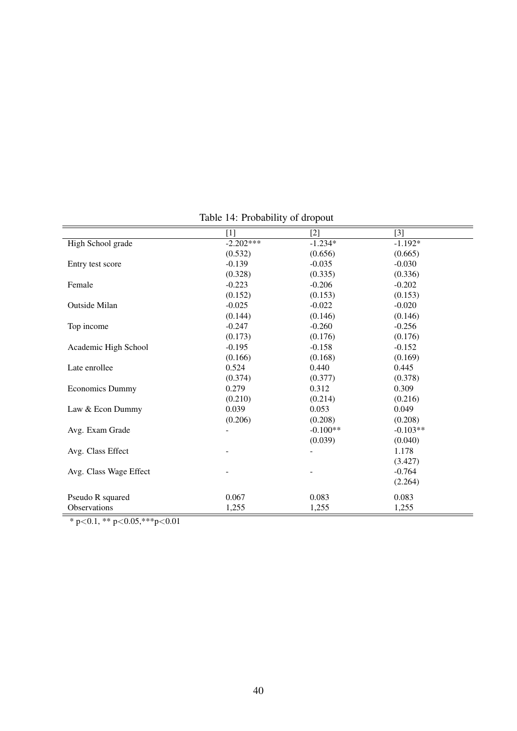|                        | $[1]$       | $[2]$      | $[3]$      |
|------------------------|-------------|------------|------------|
| High School grade      | $-2.202***$ | $-1.234*$  | $-1.192*$  |
|                        | (0.532)     | (0.656)    | (0.665)    |
| Entry test score       | $-0.139$    | $-0.035$   | $-0.030$   |
|                        | (0.328)     | (0.335)    | (0.336)    |
| Female                 | $-0.223$    | $-0.206$   | $-0.202$   |
|                        | (0.152)     | (0.153)    | (0.153)    |
| <b>Outside Milan</b>   | $-0.025$    | $-0.022$   | $-0.020$   |
|                        | (0.144)     | (0.146)    | (0.146)    |
| Top income             | $-0.247$    | $-0.260$   | $-0.256$   |
|                        | (0.173)     | (0.176)    | (0.176)    |
| Academic High School   | $-0.195$    | $-0.158$   | $-0.152$   |
|                        | (0.166)     | (0.168)    | (0.169)    |
| Late enrollee          | 0.524       | 0.440      | 0.445      |
|                        | (0.374)     | (0.377)    | (0.378)    |
| <b>Economics Dummy</b> | 0.279       | 0.312      | 0.309      |
|                        | (0.210)     | (0.214)    | (0.216)    |
| Law & Econ Dummy       | 0.039       | 0.053      | 0.049      |
|                        | (0.206)     | (0.208)    | (0.208)    |
| Avg. Exam Grade        |             | $-0.100**$ | $-0.103**$ |
|                        |             | (0.039)    | (0.040)    |
| Avg. Class Effect      |             |            | 1.178      |
|                        |             |            | (3.427)    |
| Avg. Class Wage Effect |             |            | $-0.764$   |
|                        |             |            | (2.264)    |
| Pseudo R squared       | 0.067       | 0.083      | 0.083      |
| <b>Observations</b>    | 1,255       | 1,255      | 1,255      |

Table 14: Probability of dropout

\* p<0.1, \*\* p<0.05, \*\*\* p<0.01